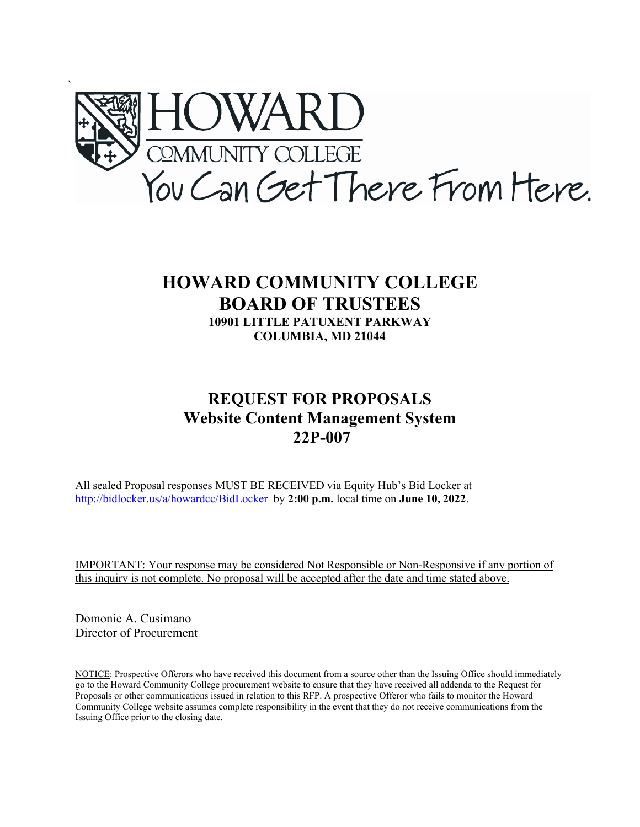

# **HOWARD COMMUNITY COLLEGE BOARD OF TRUSTEES 10901 LITTLE PATUXENT PARKWAY COLUMBIA, MD 21044**

# **REQUEST FOR PROPOSALS Website Content Management System 22P-007**

All sealed Proposal responses MUST BE RECEIVED via Equity Hub's Bid Locker at <http://bidlocker.us/a/howardcc/BidLocker>by **2:00 p.m.** local time on **June 10, 2022**.

IMPORTANT: Your response may be considered Not Responsible or Non-Responsive if any portion of this inquiry is not complete. No proposal will be accepted after the date and time stated above.

Domonic A. Cusimano Director of Procurement

NOTICE: Prospective Offerors who have received this document from a source other than the Issuing Office should immediately go to the Howard Community College procurement website to ensure that they have received all addenda to the Request for Proposals or other communications issued in relation to this RFP. A prospective Offeror who fails to monitor the Howard Community College website assumes complete responsibility in the event that they do not receive communications from the Issuing Office prior to the closing date.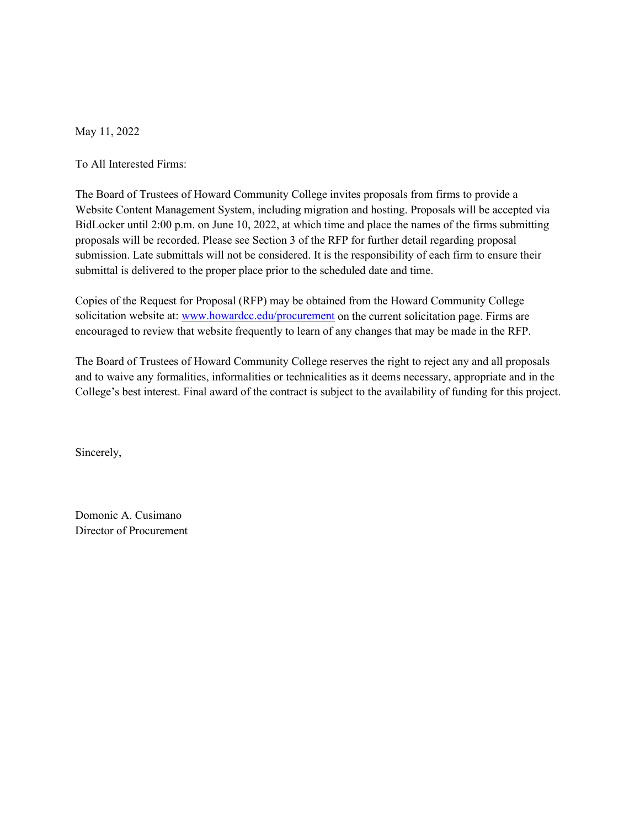May 11, 2022

To All Interested Firms:

The Board of Trustees of Howard Community College invites proposals from firms to provide a Website Content Management System, including migration and hosting. Proposals will be accepted via BidLocker until 2:00 p.m. on June 10, 2022, at which time and place the names of the firms submitting proposals will be recorded. Please see Section 3 of the RFP for further detail regarding proposal submission. Late submittals will not be considered. It is the responsibility of each firm to ensure their submittal is delivered to the proper place prior to the scheduled date and time.

Copies of the Request for Proposal (RFP) may be obtained from the Howard Community College solicitation website at[: www.howardcc.edu/procurement](http://www.howardcc.edu/procurement) on the current solicitation page. Firms are encouraged to review that website frequently to learn of any changes that may be made in the RFP.

The Board of Trustees of Howard Community College reserves the right to reject any and all proposals and to waive any formalities, informalities or technicalities as it deems necessary, appropriate and in the College's best interest. Final award of the contract is subject to the availability of funding for this project.

Sincerely,

Domonic A. Cusimano Director of Procurement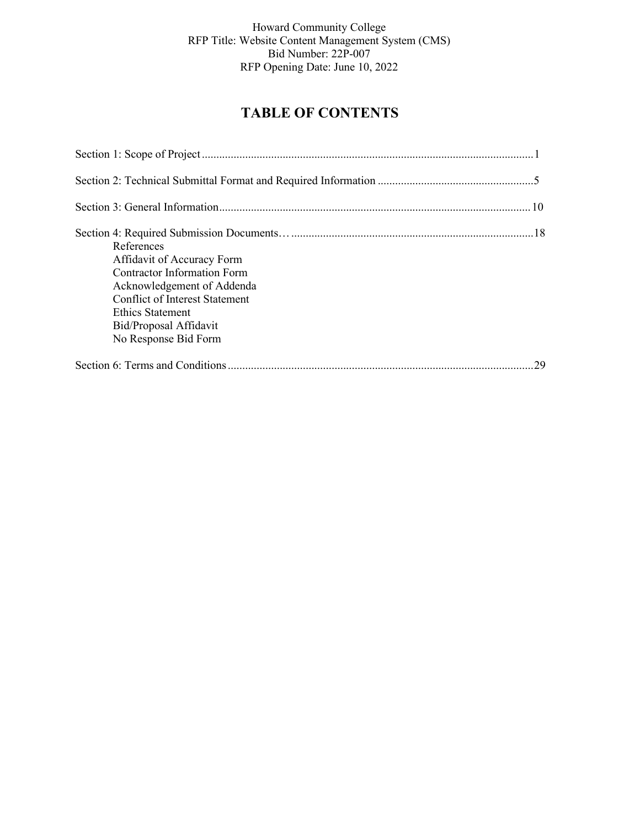# **TABLE OF CONTENTS**

| References                            |    |
|---------------------------------------|----|
| Affidavit of Accuracy Form            |    |
| <b>Contractor Information Form</b>    |    |
| Acknowledgement of Addenda            |    |
| <b>Conflict of Interest Statement</b> |    |
| Ethics Statement                      |    |
| Bid/Proposal Affidavit                |    |
| No Response Bid Form                  |    |
|                                       | 29 |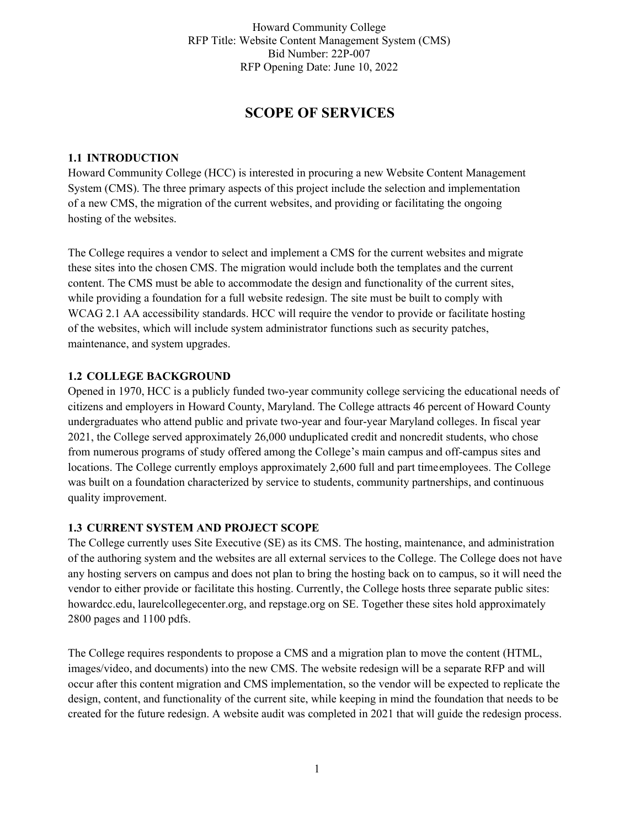# **SCOPE OF SERVICES**

#### **1.1 INTRODUCTION**

Howard Community College (HCC) is interested in procuring a new Website Content Management System (CMS). The three primary aspects of this project include the selection and implementation of a new CMS, the migration of the current websites, and providing or facilitating the ongoing hosting of the websites.

The College requires a vendor to select and implement a CMS for the current websites and migrate these sites into the chosen CMS. The migration would include both the templates and the current content. The CMS must be able to accommodate the design and functionality of the current sites, while providing a foundation for a full website redesign. The site must be built to comply with WCAG 2.1 AA accessibility standards. HCC will require the vendor to provide or facilitate hosting of the websites, which will include system administrator functions such as security patches, maintenance, and system upgrades.

### **1.2 COLLEGE BACKGROUND**

Opened in 1970, HCC is a publicly funded two-year community college servicing the educational needs of citizens and employers in Howard County, Maryland. The College attracts 46 percent of Howard County undergraduates who attend public and private two-year and four-year Maryland colleges. In fiscal year 2021, the College served approximately 26,000 unduplicated credit and noncredit students, who chose from numerous programs of study offered among the College's main campus and off-campus sites and locations. The College currently employs approximately 2,600 full and part timeemployees. The College was built on a foundation characterized by service to students, community partnerships, and continuous quality improvement.

#### **1.3 CURRENT SYSTEM AND PROJECT SCOPE**

The College currently uses Site Executive (SE) as its CMS. The hosting, maintenance, and administration of the authoring system and the websites are all external services to the College. The College does not have any hosting servers on campus and does not plan to bring the hosting back on to campus, so it will need the vendor to either provide or facilitate this hosting. Currently, the College hosts three separate public sites: howardcc.edu, laurelcollegecenter.org, and repstage.org on SE. Together these sites hold approximately 2800 pages and 1100 pdfs.

The College requires respondents to propose a CMS and a migration plan to move the content (HTML, images/video, and documents) into the new CMS. The website redesign will be a separate RFP and will occur after this content migration and CMS implementation, so the vendor will be expected to replicate the design, content, and functionality of the current site, while keeping in mind the foundation that needs to be created for the future redesign. A website audit was completed in 2021 that will guide the redesign process.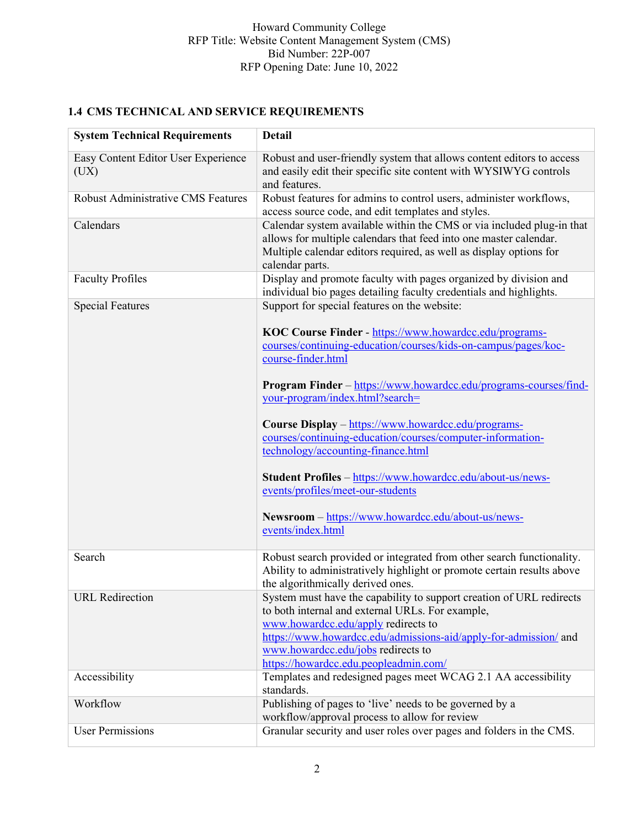# **1.4 CMS TECHNICAL AND SERVICE REQUIREMENTS**

| <b>System Technical Requirements</b>        | <b>Detail</b>                                                                                                                                                                                                                                                                                                      |
|---------------------------------------------|--------------------------------------------------------------------------------------------------------------------------------------------------------------------------------------------------------------------------------------------------------------------------------------------------------------------|
| Easy Content Editor User Experience<br>(UX) | Robust and user-friendly system that allows content editors to access<br>and easily edit their specific site content with WYSIWYG controls<br>and features.                                                                                                                                                        |
| <b>Robust Administrative CMS Features</b>   | Robust features for admins to control users, administer workflows,<br>access source code, and edit templates and styles.                                                                                                                                                                                           |
| Calendars                                   | Calendar system available within the CMS or via included plug-in that<br>allows for multiple calendars that feed into one master calendar.<br>Multiple calendar editors required, as well as display options for<br>calendar parts.                                                                                |
| <b>Faculty Profiles</b>                     | Display and promote faculty with pages organized by division and<br>individual bio pages detailing faculty credentials and highlights.                                                                                                                                                                             |
| <b>Special Features</b>                     | Support for special features on the website:                                                                                                                                                                                                                                                                       |
|                                             | KOC Course Finder - https://www.howardcc.edu/programs-<br>courses/continuing-education/courses/kids-on-campus/pages/koc-<br>course-finder.html                                                                                                                                                                     |
|                                             | <b>Program Finder</b> – https://www.howardcc.edu/programs-courses/find-<br>your-program/index.html?search=                                                                                                                                                                                                         |
|                                             | Course Display - https://www.howardcc.edu/programs-<br>courses/continuing-education/courses/computer-information-<br>technology/accounting-finance.html                                                                                                                                                            |
|                                             | Student Profiles - https://www.howardcc.edu/about-us/news-<br>events/profiles/meet-our-students                                                                                                                                                                                                                    |
|                                             | Newsroom - https://www.howardcc.edu/about-us/news-<br>events/index.html                                                                                                                                                                                                                                            |
| Search                                      | Robust search provided or integrated from other search functionality.<br>Ability to administratively highlight or promote certain results above<br>the algorithmically derived ones.                                                                                                                               |
| <b>URL</b> Redirection                      | System must have the capability to support creation of URL redirects<br>to both internal and external URLs. For example,<br>www.howardcc.edu/apply redirects to<br>https://www.howardcc.edu/admissions-aid/apply-for-admission/ and<br>www.howardcc.edu/jobs redirects to<br>https://howardcc.edu.peopleadmin.com/ |
| Accessibility                               | Templates and redesigned pages meet WCAG 2.1 AA accessibility<br>standards.                                                                                                                                                                                                                                        |
| Workflow                                    | Publishing of pages to 'live' needs to be governed by a<br>workflow/approval process to allow for review                                                                                                                                                                                                           |
| <b>User Permissions</b>                     | Granular security and user roles over pages and folders in the CMS.                                                                                                                                                                                                                                                |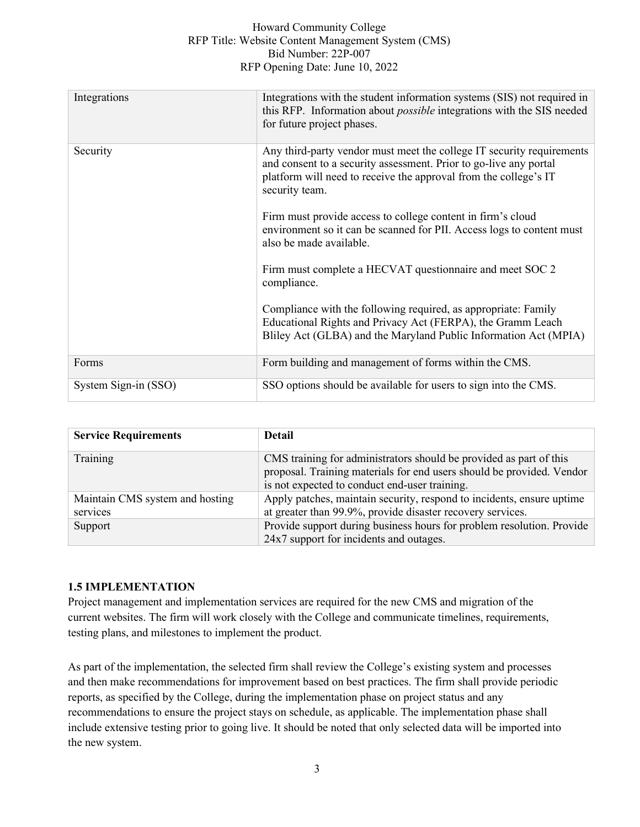| Integrations         | Integrations with the student information systems (SIS) not required in<br>this RFP. Information about <i>possible</i> integrations with the SIS needed<br>for future project phases.                                            |
|----------------------|----------------------------------------------------------------------------------------------------------------------------------------------------------------------------------------------------------------------------------|
| Security             | Any third-party vendor must meet the college IT security requirements<br>and consent to a security assessment. Prior to go-live any portal<br>platform will need to receive the approval from the college's IT<br>security team. |
|                      | Firm must provide access to college content in firm's cloud<br>environment so it can be scanned for PII. Access logs to content must<br>also be made available.                                                                  |
|                      | Firm must complete a HECVAT questionnaire and meet SOC 2<br>compliance.                                                                                                                                                          |
|                      | Compliance with the following required, as appropriate: Family<br>Educational Rights and Privacy Act (FERPA), the Gramm Leach<br>Bliley Act (GLBA) and the Maryland Public Information Act (MPIA)                                |
| Forms                | Form building and management of forms within the CMS.                                                                                                                                                                            |
| System Sign-in (SSO) | SSO options should be available for users to sign into the CMS.                                                                                                                                                                  |

| <b>Service Requirements</b>                 | <b>Detail</b>                                                                                                                                                                                |
|---------------------------------------------|----------------------------------------------------------------------------------------------------------------------------------------------------------------------------------------------|
| Training                                    | CMS training for administrators should be provided as part of this<br>proposal. Training materials for end users should be provided. Vendor<br>is not expected to conduct end-user training. |
| Maintain CMS system and hosting<br>services | Apply patches, maintain security, respond to incidents, ensure uptime<br>at greater than 99.9%, provide disaster recovery services.                                                          |
| Support                                     | Provide support during business hours for problem resolution. Provide<br>24x7 support for incidents and outages.                                                                             |

# **1.5 IMPLEMENTATION**

Project management and implementation services are required for the new CMS and migration of the current websites. The firm will work closely with the College and communicate timelines, requirements, testing plans, and milestones to implement the product.

As part of the implementation, the selected firm shall review the College's existing system and processes and then make recommendations for improvement based on best practices. The firm shall provide periodic reports, as specified by the College, during the implementation phase on project status and any recommendations to ensure the project stays on schedule, as applicable. The implementation phase shall include extensive testing prior to going live. It should be noted that only selected data will be imported into the new system.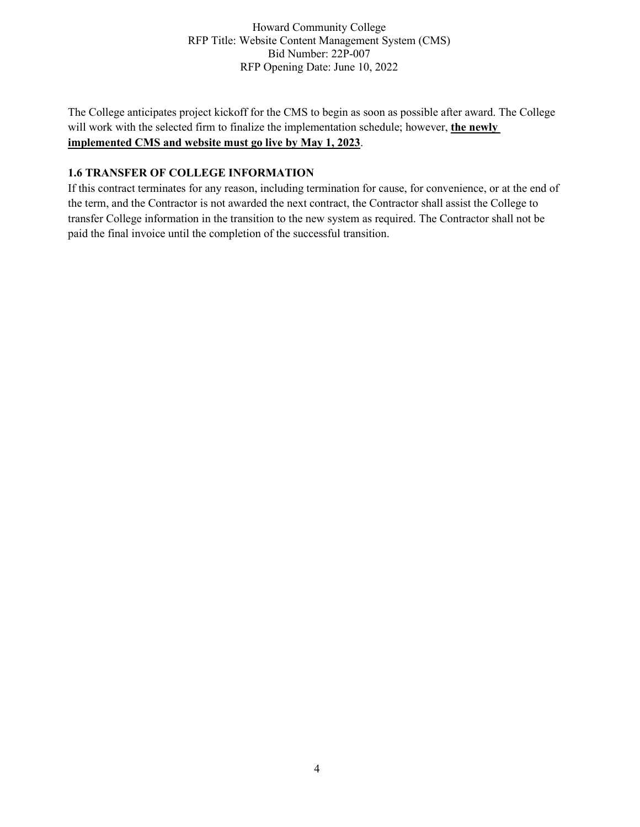The College anticipates project kickoff for the CMS to begin as soon as possible after award. The College will work with the selected firm to finalize the implementation schedule; however, **the newly implemented CMS and website must go live by May 1, 2023**.

# **1.6 TRANSFER OF COLLEGE INFORMATION**

If this contract terminates for any reason, including termination for cause, for convenience, or at the end of the term, and the Contractor is not awarded the next contract, the Contractor shall assist the College to transfer College information in the transition to the new system as required. The Contractor shall not be paid the final invoice until the completion of the successful transition.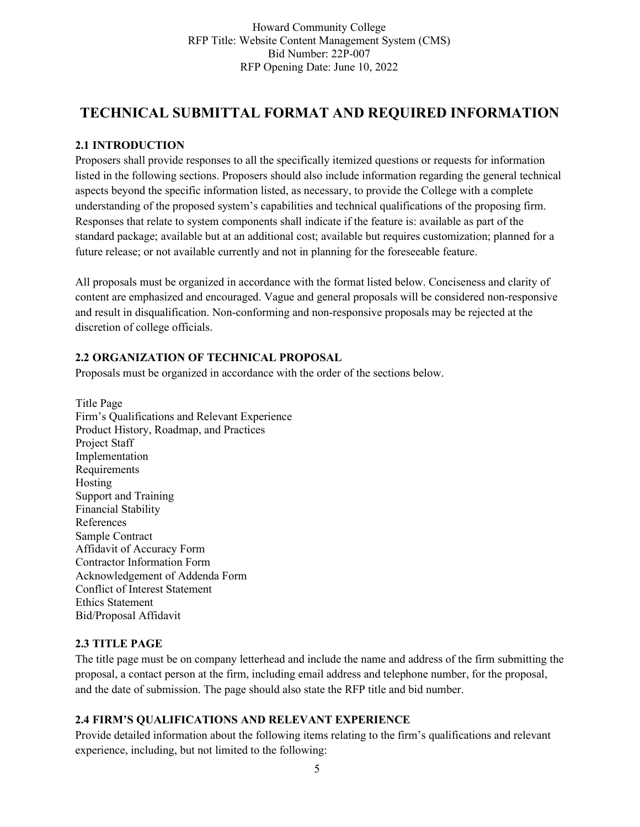# **TECHNICAL SUBMITTAL FORMAT AND REQUIRED INFORMATION**

# **2.1 INTRODUCTION**

Proposers shall provide responses to all the specifically itemized questions or requests for information listed in the following sections. Proposers should also include information regarding the general technical aspects beyond the specific information listed, as necessary, to provide the College with a complete understanding of the proposed system's capabilities and technical qualifications of the proposing firm. Responses that relate to system components shall indicate if the feature is: available as part of the standard package; available but at an additional cost; available but requires customization; planned for a future release; or not available currently and not in planning for the foreseeable feature.

All proposals must be organized in accordance with the format listed below. Conciseness and clarity of content are emphasized and encouraged. Vague and general proposals will be considered non-responsive and result in disqualification. Non-conforming and non-responsive proposals may be rejected at the discretion of college officials.

# **2.2 ORGANIZATION OF TECHNICAL PROPOSAL**

Proposals must be organized in accordance with the order of the sections below.

Title Page Firm's Qualifications and Relevant Experience Product History, Roadmap, and Practices Project Staff Implementation Requirements Hosting Support and Training Financial Stability References Sample Contract Affidavit of Accuracy Form Contractor Information Form Acknowledgement of Addenda Form Conflict of Interest Statement Ethics Statement Bid/Proposal Affidavit

# **2.3 TITLE PAGE**

The title page must be on company letterhead and include the name and address of the firm submitting the proposal, a contact person at the firm, including email address and telephone number, for the proposal, and the date of submission. The page should also state the RFP title and bid number.

# **2.4 FIRM'S QUALIFICATIONS AND RELEVANT EXPERIENCE**

Provide detailed information about the following items relating to the firm's qualifications and relevant experience, including, but not limited to the following: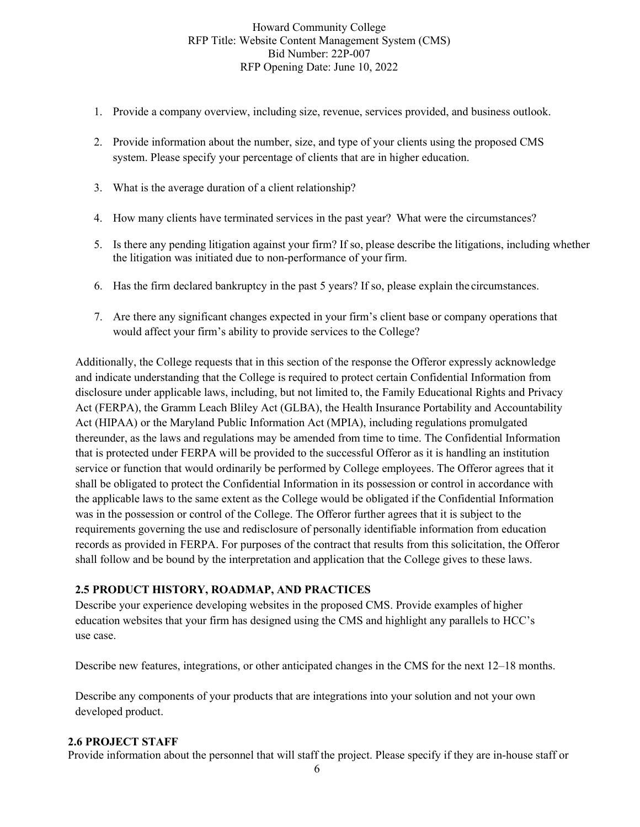- 1. Provide a company overview, including size, revenue, services provided, and business outlook.
- 2. Provide information about the number, size, and type of your clients using the proposed CMS system. Please specify your percentage of clients that are in higher education.
- 3. What is the average duration of a client relationship?
- 4. How many clients have terminated services in the past year? What were the circumstances?
- 5. Is there any pending litigation against your firm? If so, please describe the litigations, including whether the litigation was initiated due to non-performance of your firm.
- 6. Has the firm declared bankruptcy in the past 5 years? If so, please explain the circumstances.
- 7. Are there any significant changes expected in your firm's client base or company operations that would affect your firm's ability to provide services to the College?

Additionally, the College requests that in this section of the response the Offeror expressly acknowledge and indicate understanding that the College is required to protect certain Confidential Information from disclosure under applicable laws, including, but not limited to, the Family Educational Rights and Privacy Act (FERPA), the Gramm Leach Bliley Act (GLBA), the Health Insurance Portability and Accountability Act (HIPAA) or the Maryland Public Information Act (MPIA), including regulations promulgated thereunder, as the laws and regulations may be amended from time to time. The Confidential Information that is protected under FERPA will be provided to the successful Offeror as it is handling an institution service or function that would ordinarily be performed by College employees. The Offeror agrees that it shall be obligated to protect the Confidential Information in its possession or control in accordance with the applicable laws to the same extent as the College would be obligated if the Confidential Information was in the possession or control of the College. The Offeror further agrees that it is subject to the requirements governing the use and redisclosure of personally identifiable information from education records as provided in FERPA. For purposes of the contract that results from this solicitation, the Offeror shall follow and be bound by the interpretation and application that the College gives to these laws.

#### **2.5 PRODUCT HISTORY, ROADMAP, AND PRACTICES**

Describe your experience developing websites in the proposed CMS. Provide examples of higher education websites that your firm has designed using the CMS and highlight any parallels to HCC's use case.

Describe new features, integrations, or other anticipated changes in the CMS for the next 12–18 months.

Describe any components of your products that are integrations into your solution and not your own developed product.

#### **2.6 PROJECT STAFF**

Provide information about the personnel that will staff the project. Please specify if they are in-house staff or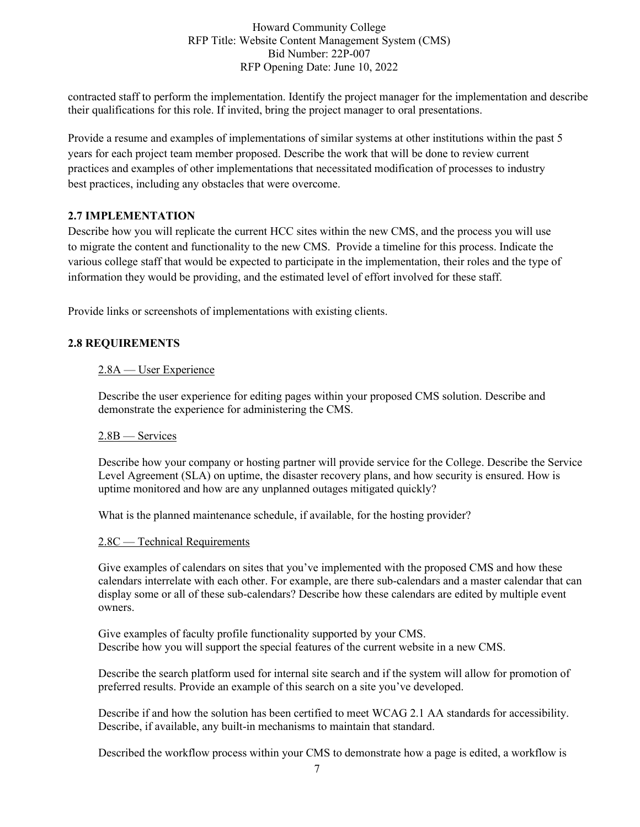contracted staff to perform the implementation. Identify the project manager for the implementation and describe their qualifications for this role. If invited, bring the project manager to oral presentations.

Provide a resume and examples of implementations of similar systems at other institutions within the past 5 years for each project team member proposed. Describe the work that will be done to review current practices and examples of other implementations that necessitated modification of processes to industry best practices, including any obstacles that were overcome.

# **2.7 IMPLEMENTATION**

Describe how you will replicate the current HCC sites within the new CMS, and the process you will use to migrate the content and functionality to the new CMS. Provide a timeline for this process. Indicate the various college staff that would be expected to participate in the implementation, their roles and the type of information they would be providing, and the estimated level of effort involved for these staff.

Provide links or screenshots of implementations with existing clients.

### **2.8 REQUIREMENTS**

#### 2.8A — User Experience

Describe the user experience for editing pages within your proposed CMS solution. Describe and demonstrate the experience for administering the CMS.

#### 2.8B — Services

Describe how your company or hosting partner will provide service for the College. Describe the Service Level Agreement (SLA) on uptime, the disaster recovery plans, and how security is ensured. How is uptime monitored and how are any unplanned outages mitigated quickly?

What is the planned maintenance schedule, if available, for the hosting provider?

#### 2.8C — Technical Requirements

Give examples of calendars on sites that you've implemented with the proposed CMS and how these calendars interrelate with each other. For example, are there sub-calendars and a master calendar that can display some or all of these sub-calendars? Describe how these calendars are edited by multiple event owners.

Give examples of faculty profile functionality supported by your CMS. Describe how you will support the special features of the current website in a new CMS.

Describe the search platform used for internal site search and if the system will allow for promotion of preferred results. Provide an example of this search on a site you've developed.

Describe if and how the solution has been certified to meet WCAG 2.1 AA standards for accessibility. Describe, if available, any built-in mechanisms to maintain that standard.

Described the workflow process within your CMS to demonstrate how a page is edited, a workflow is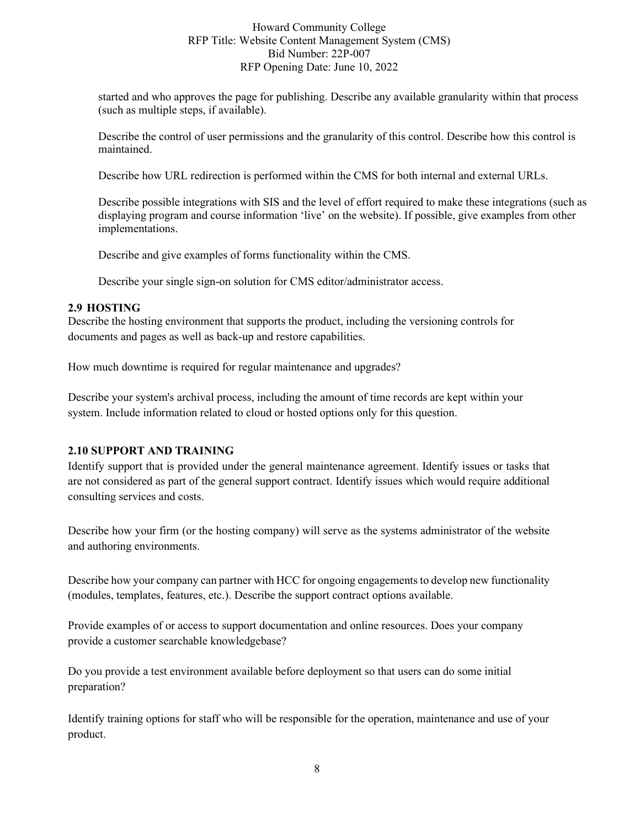started and who approves the page for publishing. Describe any available granularity within that process (such as multiple steps, if available).

Describe the control of user permissions and the granularity of this control. Describe how this control is maintained.

Describe how URL redirection is performed within the CMS for both internal and external URLs.

Describe possible integrations with SIS and the level of effort required to make these integrations (such as displaying program and course information 'live' on the website). If possible, give examples from other implementations.

Describe and give examples of forms functionality within the CMS.

Describe your single sign-on solution for CMS editor/administrator access.

### **2.9 HOSTING**

Describe the hosting environment that supports the product, including the versioning controls for documents and pages as well as back-up and restore capabilities.

How much downtime is required for regular maintenance and upgrades?

Describe your system's archival process, including the amount of time records are kept within your system. Include information related to cloud or hosted options only for this question.

# **2.10 SUPPORT AND TRAINING**

Identify support that is provided under the general maintenance agreement. Identify issues or tasks that are not considered as part of the general support contract. Identify issues which would require additional consulting services and costs.

Describe how your firm (or the hosting company) will serve as the systems administrator of the website and authoring environments.

Describe how your company can partner with HCC for ongoing engagements to develop new functionality (modules, templates, features, etc.). Describe the support contract options available.

Provide examples of or access to support documentation and online resources. Does your company provide a customer searchable knowledgebase?

Do you provide a test environment available before deployment so that users can do some initial preparation?

Identify training options for staff who will be responsible for the operation, maintenance and use of your product.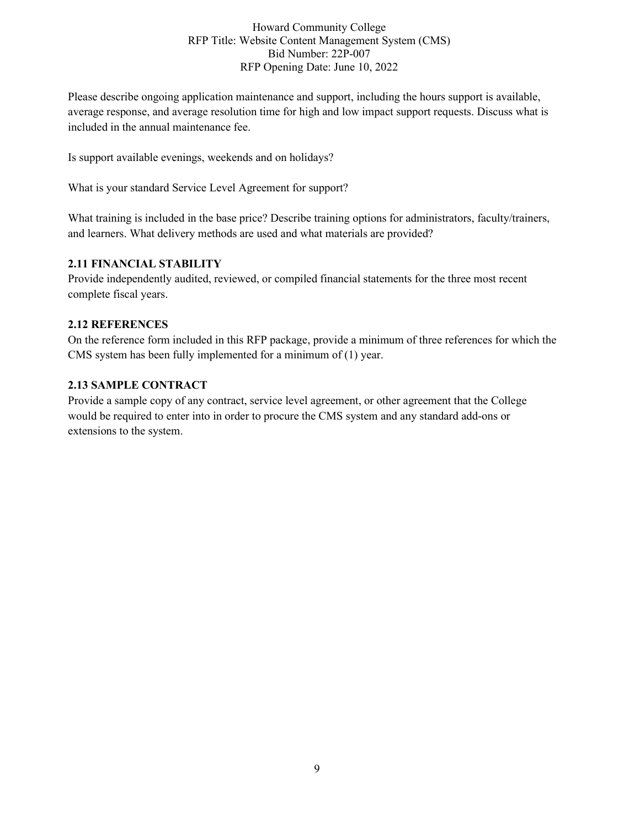Please describe ongoing application maintenance and support, including the hours support is available, average response, and average resolution time for high and low impact support requests. Discuss what is included in the annual maintenance fee.

Is support available evenings, weekends and on holidays?

What is your standard Service Level Agreement for support?

What training is included in the base price? Describe training options for administrators, faculty/trainers, and learners. What delivery methods are used and what materials are provided?

### **2.11 FINANCIAL STABILITY**

Provide independently audited, reviewed, or compiled financial statements for the three most recent complete fiscal years.

### **2.12 REFERENCES**

On the reference form included in this RFP package, provide a minimum of three references for which the CMS system has been fully implemented for a minimum of (1) year.

# **2.13 SAMPLE CONTRACT**

Provide a sample copy of any contract, service level agreement, or other agreement that the College would be required to enter into in order to procure the CMS system and any standard add-ons or extensions to the system.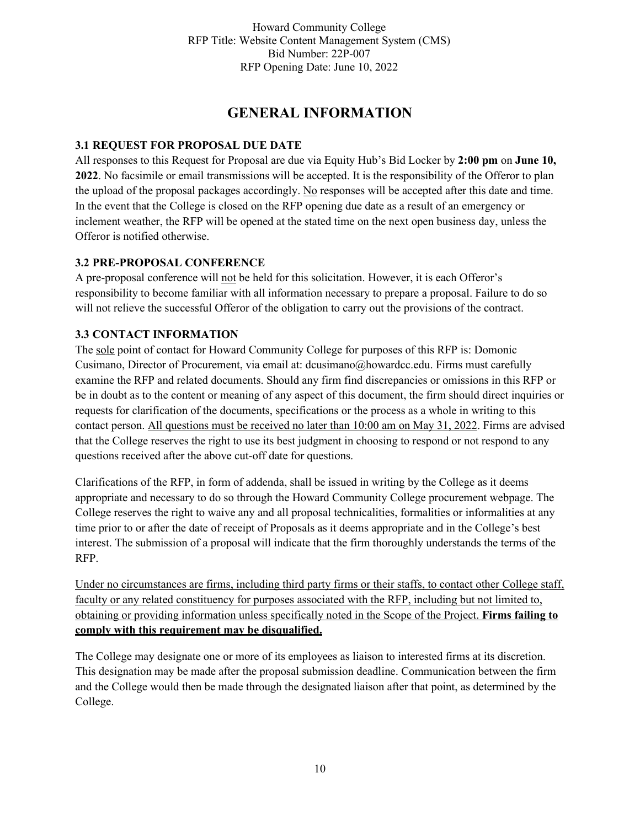# **GENERAL INFORMATION**

### **3.1 REQUEST FOR PROPOSAL DUE DATE**

All responses to this Request for Proposal are due via Equity Hub's Bid Locker by **2:00 pm** on **June 10, 2022**. No facsimile or email transmissions will be accepted. It is the responsibility of the Offeror to plan the upload of the proposal packages accordingly. No responses will be accepted after this date and time. In the event that the College is closed on the RFP opening due date as a result of an emergency or inclement weather, the RFP will be opened at the stated time on the next open business day, unless the Offeror is notified otherwise.

### **3.2 PRE-PROPOSAL CONFERENCE**

A pre-proposal conference will not be held for this solicitation. However, it is each Offeror's responsibility to become familiar with all information necessary to prepare a proposal. Failure to do so will not relieve the successful Offeror of the obligation to carry out the provisions of the contract.

### **3.3 CONTACT INFORMATION**

The sole point of contact for Howard Community College for purposes of this RFP is: Domonic Cusimano, Director of Procurement, via email at: [dcusimano@howardcc.edu.](mailto:dcusimano@howardcc.edu) Firms must carefully examine the RFP and related documents. Should any firm find discrepancies or omissions in this RFP or be in doubt as to the content or meaning of any aspect of this document, the firm should direct inquiries or requests for clarification of the documents, specifications or the process as a whole in writing to this contact person. All questions must be received no later than 10:00 am on May 31, 2022. Firms are advised that the College reserves the right to use its best judgment in choosing to respond or not respond to any questions received after the above cut-off date for questions.

Clarifications of the RFP, in form of addenda, shall be issued in writing by the College as it deems appropriate and necessary to do so through the Howard Community College procurement webpage. The College reserves the right to waive any and all proposal technicalities, formalities or informalities at any time prior to or after the date of receipt of Proposals as it deems appropriate and in the College's best interest. The submission of a proposal will indicate that the firm thoroughly understands the terms of the RFP.

Under no circumstances are firms, including third party firms or their staffs, to contact other College staff, faculty or any related constituency for purposes associated with the RFP, including but not limited to, obtaining or providing information unless specifically noted in the Scope of the Project. **Firms failing to comply with this requirement may be disqualified.**

The College may designate one or more of its employees as liaison to interested firms at its discretion. This designation may be made after the proposal submission deadline. Communication between the firm and the College would then be made through the designated liaison after that point, as determined by the College.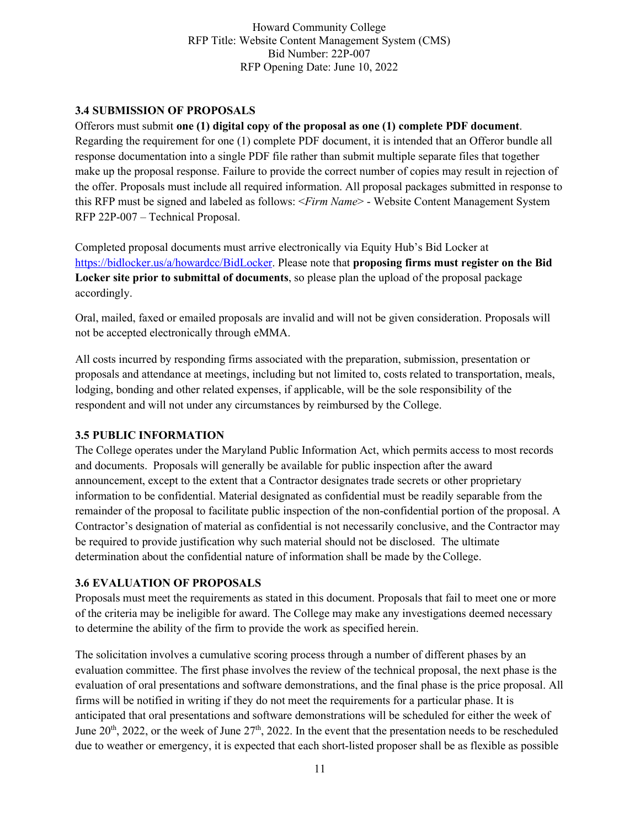### **3.4 SUBMISSION OF PROPOSALS**

Offerors must submit **one (1) digital copy of the proposal as one (1) complete PDF document**. Regarding the requirement for one (1) complete PDF document, it is intended that an Offeror bundle all response documentation into a single PDF file rather than submit multiple separate files that together make up the proposal response. Failure to provide the correct number of copies may result in rejection of the offer. Proposals must include all required information. All proposal packages submitted in response to this RFP must be signed and labeled as follows: <*Firm Name*> - Website Content Management System RFP 22P-007 – Technical Proposal.

Completed proposal documents must arrive electronically via Equity Hub's Bid Locker at [https://bidlocker.us/a/howardcc/BidLocker. P](https://bidlocker.us/a/howardcc/BidLocker)lease note that **proposing firms must register on the Bid Locker site prior to submittal of documents**, so please plan the upload of the proposal package accordingly.

Oral, mailed, faxed or emailed proposals are invalid and will not be given consideration. Proposals will not be accepted electronically through eMMA.

All costs incurred by responding firms associated with the preparation, submission, presentation or proposals and attendance at meetings, including but not limited to, costs related to transportation, meals, lodging, bonding and other related expenses, if applicable, will be the sole responsibility of the respondent and will not under any circumstances by reimbursed by the College.

#### **3.5 PUBLIC INFORMATION**

The College operates under the Maryland Public Information Act, which permits access to most records and documents. Proposals will generally be available for public inspection after the award announcement, except to the extent that a Contractor designates trade secrets or other proprietary information to be confidential. Material designated as confidential must be readily separable from the remainder of the proposal to facilitate public inspection of the non-confidential portion of the proposal. A Contractor's designation of material as confidential is not necessarily conclusive, and the Contractor may be required to provide justification why such material should not be disclosed. The ultimate determination about the confidential nature of information shall be made by the College.

# **3.6 EVALUATION OF PROPOSALS**

Proposals must meet the requirements as stated in this document. Proposals that fail to meet one or more of the criteria may be ineligible for award. The College may make any investigations deemed necessary to determine the ability of the firm to provide the work as specified herein.

The solicitation involves a cumulative scoring process through a number of different phases by an evaluation committee. The first phase involves the review of the technical proposal, the next phase is the evaluation of oral presentations and software demonstrations, and the final phase is the price proposal. All firms will be notified in writing if they do not meet the requirements for a particular phase. It is anticipated that oral presentations and software demonstrations will be scheduled for either the week of June  $20<sup>th</sup>$ , 2022, or the week of June  $27<sup>th</sup>$ , 2022. In the event that the presentation needs to be rescheduled due to weather or emergency, it is expected that each short-listed proposer shall be as flexible as possible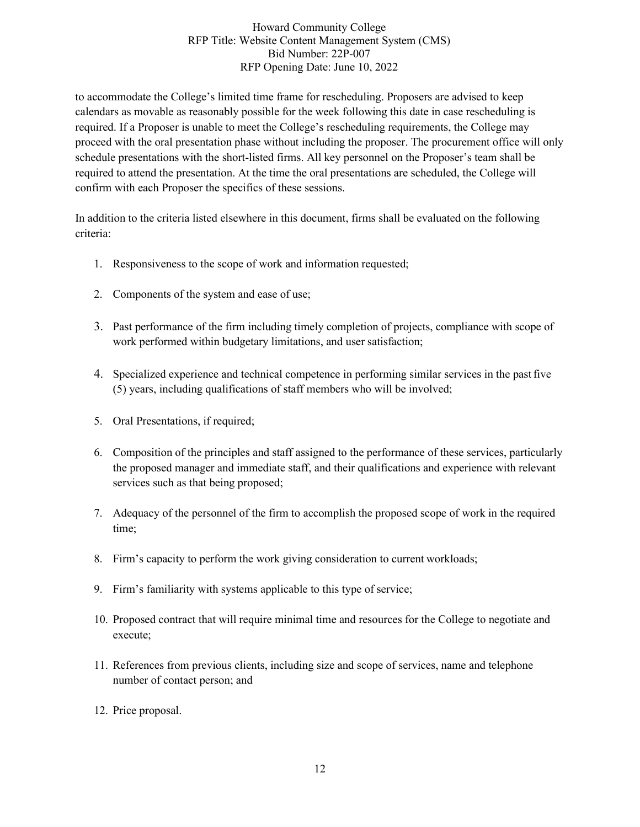to accommodate the College's limited time frame for rescheduling. Proposers are advised to keep calendars as movable as reasonably possible for the week following this date in case rescheduling is required. If a Proposer is unable to meet the College's rescheduling requirements, the College may proceed with the oral presentation phase without including the proposer. The procurement office will only schedule presentations with the short-listed firms. All key personnel on the Proposer's team shall be required to attend the presentation. At the time the oral presentations are scheduled, the College will confirm with each Proposer the specifics of these sessions.

In addition to the criteria listed elsewhere in this document, firms shall be evaluated on the following criteria:

- 1. Responsiveness to the scope of work and information requested;
- 2. Components of the system and ease of use;
- 3. Past performance of the firm including timely completion of projects, compliance with scope of work performed within budgetary limitations, and user satisfaction;
- 4. Specialized experience and technical competence in performing similar services in the pastfive (5) years, including qualifications of staff members who will be involved;
- 5. Oral Presentations, if required;
- 6. Composition of the principles and staff assigned to the performance of these services, particularly the proposed manager and immediate staff, and their qualifications and experience with relevant services such as that being proposed;
- 7. Adequacy of the personnel of the firm to accomplish the proposed scope of work in the required time;
- 8. Firm's capacity to perform the work giving consideration to current workloads;
- 9. Firm's familiarity with systems applicable to this type of service;
- 10. Proposed contract that will require minimal time and resources for the College to negotiate and execute;
- 11. References from previous clients, including size and scope of services, name and telephone number of contact person; and
- 12. Price proposal.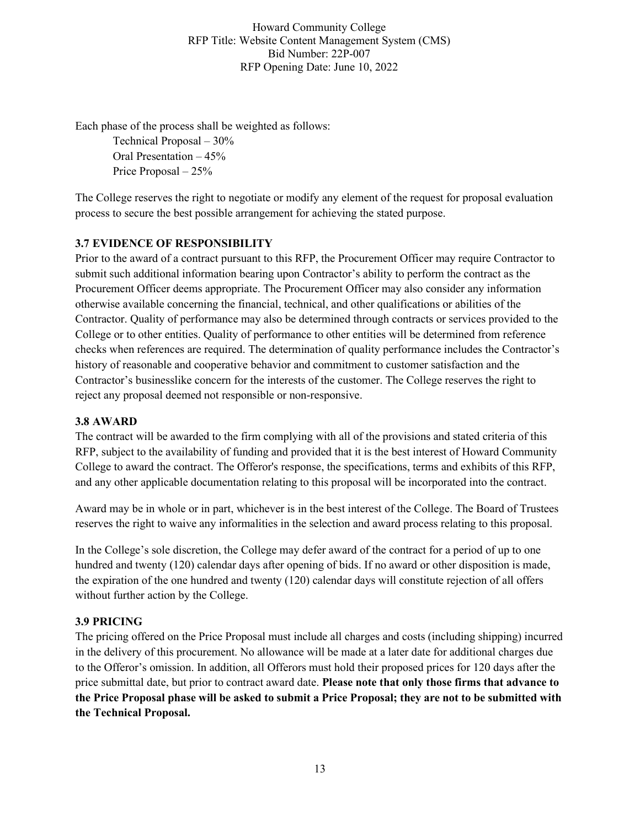Each phase of the process shall be weighted as follows:

Technical Proposal – 30% Oral Presentation – 45% Price Proposal – 25%

The College reserves the right to negotiate or modify any element of the request for proposal evaluation process to secure the best possible arrangement for achieving the stated purpose.

# **3.7 EVIDENCE OF RESPONSIBILITY**

Prior to the award of a contract pursuant to this RFP, the Procurement Officer may require Contractor to submit such additional information bearing upon Contractor's ability to perform the contract as the Procurement Officer deems appropriate. The Procurement Officer may also consider any information otherwise available concerning the financial, technical, and other qualifications or abilities of the Contractor. Quality of performance may also be determined through contracts or services provided to the College or to other entities. Quality of performance to other entities will be determined from reference checks when references are required. The determination of quality performance includes the Contractor's history of reasonable and cooperative behavior and commitment to customer satisfaction and the Contractor's businesslike concern for the interests of the customer. The College reserves the right to reject any proposal deemed not responsible or non-responsive.

# **3.8 AWARD**

The contract will be awarded to the firm complying with all of the provisions and stated criteria of this RFP, subject to the availability of funding and provided that it is the best interest of Howard Community College to award the contract. The Offeror's response, the specifications, terms and exhibits of this RFP, and any other applicable documentation relating to this proposal will be incorporated into the contract.

Award may be in whole or in part, whichever is in the best interest of the College. The Board of Trustees reserves the right to waive any informalities in the selection and award process relating to this proposal.

In the College's sole discretion, the College may defer award of the contract for a period of up to one hundred and twenty (120) calendar days after opening of bids. If no award or other disposition is made, the expiration of the one hundred and twenty (120) calendar days will constitute rejection of all offers without further action by the College.

# **3.9 PRICING**

The pricing offered on the Price Proposal must include all charges and costs (including shipping) incurred in the delivery of this procurement. No allowance will be made at a later date for additional charges due to the Offeror's omission. In addition, all Offerors must hold their proposed prices for 120 days after the price submittal date, but prior to contract award date. **Please note that only those firms that advance to**  the Price Proposal phase will be asked to submit a Price Proposal; they are not to be submitted with **the Technical Proposal.**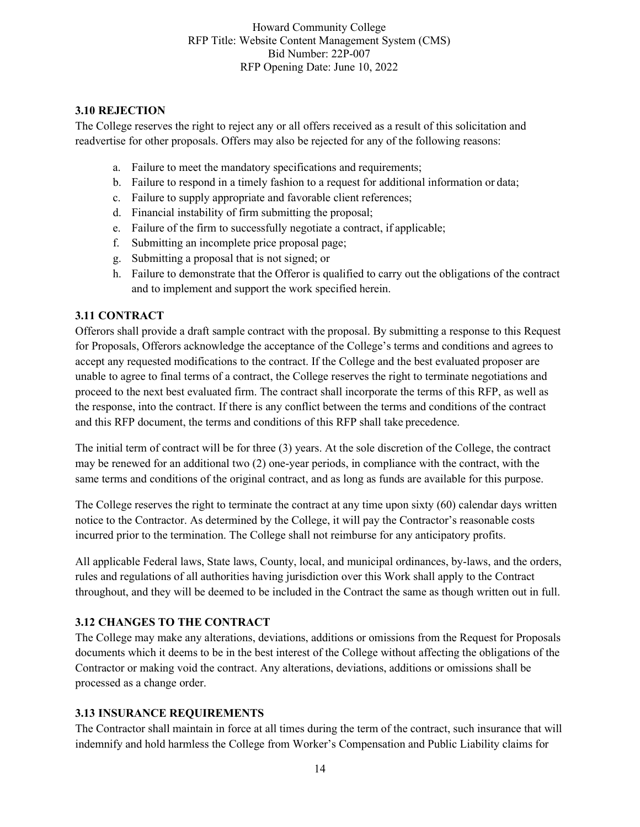### **3.10 REJECTION**

The College reserves the right to reject any or all offers received as a result of this solicitation and readvertise for other proposals. Offers may also be rejected for any of the following reasons:

- a. Failure to meet the mandatory specifications and requirements;
- b. Failure to respond in a timely fashion to a request for additional information or data;
- c. Failure to supply appropriate and favorable client references;
- d. Financial instability of firm submitting the proposal;
- e. Failure of the firm to successfully negotiate a contract, if applicable;
- f. Submitting an incomplete price proposal page;
- g. Submitting a proposal that is not signed; or
- h. Failure to demonstrate that the Offeror is qualified to carry out the obligations of the contract and to implement and support the work specified herein.

### **3.11 CONTRACT**

Offerors shall provide a draft sample contract with the proposal. By submitting a response to this Request for Proposals, Offerors acknowledge the acceptance of the College's terms and conditions and agrees to accept any requested modifications to the contract. If the College and the best evaluated proposer are unable to agree to final terms of a contract, the College reserves the right to terminate negotiations and proceed to the next best evaluated firm. The contract shall incorporate the terms of this RFP, as well as the response, into the contract. If there is any conflict between the terms and conditions of the contract and this RFP document, the terms and conditions of this RFP shall take precedence.

The initial term of contract will be for three (3) years. At the sole discretion of the College, the contract may be renewed for an additional two (2) one-year periods, in compliance with the contract, with the same terms and conditions of the original contract, and as long as funds are available for this purpose.

The College reserves the right to terminate the contract at any time upon sixty (60) calendar days written notice to the Contractor. As determined by the College, it will pay the Contractor's reasonable costs incurred prior to the termination. The College shall not reimburse for any anticipatory profits.

All applicable Federal laws, State laws, County, local, and municipal ordinances, by-laws, and the orders, rules and regulations of all authorities having jurisdiction over this Work shall apply to the Contract throughout, and they will be deemed to be included in the Contract the same as though written out in full.

# **3.12 CHANGES TO THE CONTRACT**

The College may make any alterations, deviations, additions or omissions from the Request for Proposals documents which it deems to be in the best interest of the College without affecting the obligations of the Contractor or making void the contract. Any alterations, deviations, additions or omissions shall be processed as a change order.

#### **3.13 INSURANCE REQUIREMENTS**

The Contractor shall maintain in force at all times during the term of the contract, such insurance that will indemnify and hold harmless the College from Worker's Compensation and Public Liability claims for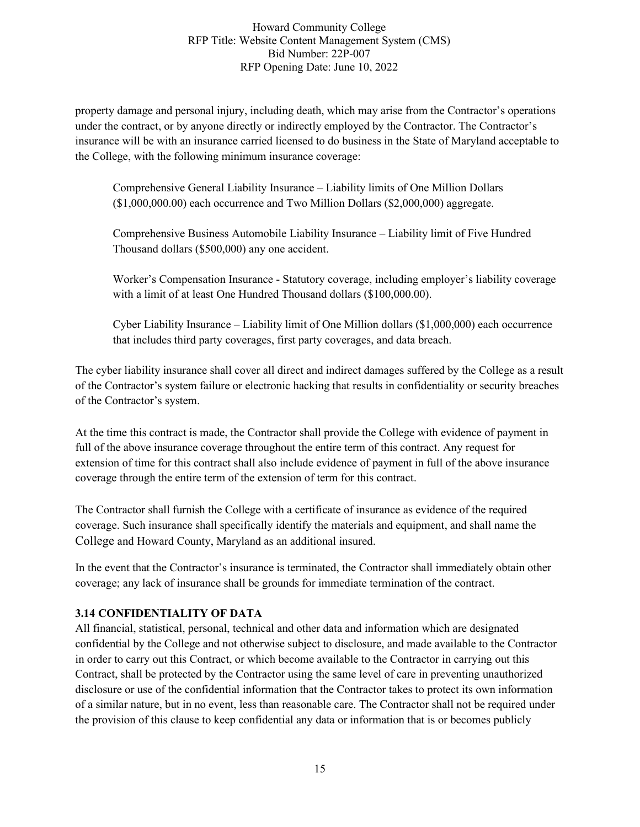property damage and personal injury, including death, which may arise from the Contractor's operations under the contract, or by anyone directly or indirectly employed by the Contractor. The Contractor's insurance will be with an insurance carried licensed to do business in the State of Maryland acceptable to the College, with the following minimum insurance coverage:

Comprehensive General Liability Insurance – Liability limits of One Million Dollars (\$1,000,000.00) each occurrence and Two Million Dollars (\$2,000,000) aggregate.

Comprehensive Business Automobile Liability Insurance – Liability limit of Five Hundred Thousand dollars (\$500,000) any one accident.

Worker's Compensation Insurance - Statutory coverage, including employer's liability coverage with a limit of at least One Hundred Thousand dollars (\$100,000,00).

Cyber Liability Insurance – Liability limit of One Million dollars (\$1,000,000) each occurrence that includes third party coverages, first party coverages, and data breach.

The cyber liability insurance shall cover all direct and indirect damages suffered by the College as a result of the Contractor's system failure or electronic hacking that results in confidentiality or security breaches of the Contractor's system.

At the time this contract is made, the Contractor shall provide the College with evidence of payment in full of the above insurance coverage throughout the entire term of this contract. Any request for extension of time for this contract shall also include evidence of payment in full of the above insurance coverage through the entire term of the extension of term for this contract.

The Contractor shall furnish the College with a certificate of insurance as evidence of the required coverage. Such insurance shall specifically identify the materials and equipment, and shall name the College and Howard County, Maryland as an additional insured.

In the event that the Contractor's insurance is terminated, the Contractor shall immediately obtain other coverage; any lack of insurance shall be grounds for immediate termination of the contract.

# **3.14 CONFIDENTIALITY OF DATA**

All financial, statistical, personal, technical and other data and information which are designated confidential by the College and not otherwise subject to disclosure, and made available to the Contractor in order to carry out this Contract, or which become available to the Contractor in carrying out this Contract, shall be protected by the Contractor using the same level of care in preventing unauthorized disclosure or use of the confidential information that the Contractor takes to protect its own information of a similar nature, but in no event, less than reasonable care. The Contractor shall not be required under the provision of this clause to keep confidential any data or information that is or becomes publicly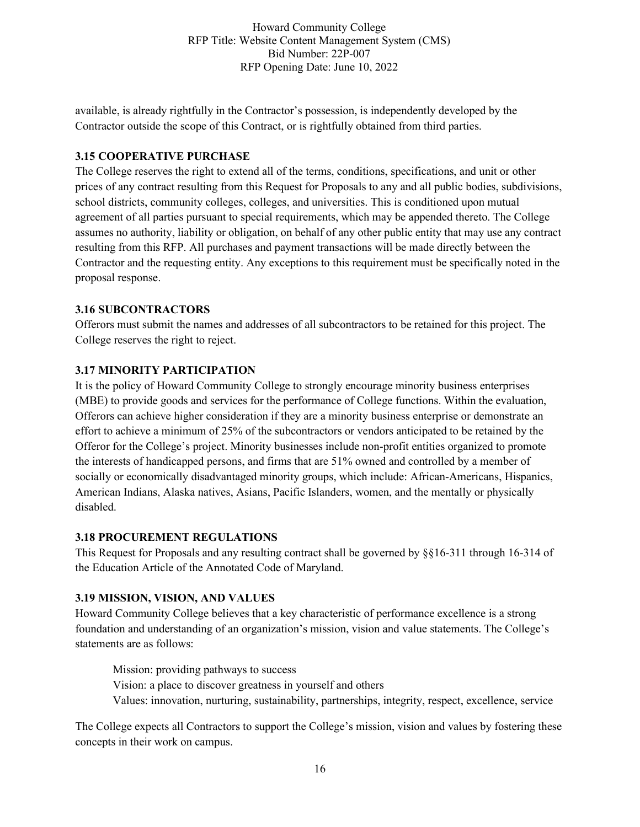available, is already rightfully in the Contractor's possession, is independently developed by the Contractor outside the scope of this Contract, or is rightfully obtained from third parties.

# **3.15 COOPERATIVE PURCHASE**

The College reserves the right to extend all of the terms, conditions, specifications, and unit or other prices of any contract resulting from this Request for Proposals to any and all public bodies, subdivisions, school districts, community colleges, colleges, and universities. This is conditioned upon mutual agreement of all parties pursuant to special requirements, which may be appended thereto. The College assumes no authority, liability or obligation, on behalf of any other public entity that may use any contract resulting from this RFP. All purchases and payment transactions will be made directly between the Contractor and the requesting entity. Any exceptions to this requirement must be specifically noted in the proposal response.

### **3.16 SUBCONTRACTORS**

Offerors must submit the names and addresses of all subcontractors to be retained for this project. The College reserves the right to reject.

# **3.17 MINORITY PARTICIPATION**

It is the policy of Howard Community College to strongly encourage minority business enterprises (MBE) to provide goods and services for the performance of College functions. Within the evaluation, Offerors can achieve higher consideration if they are a minority business enterprise or demonstrate an effort to achieve a minimum of 25% of the subcontractors or vendors anticipated to be retained by the Offeror for the College's project. Minority businesses include non-profit entities organized to promote the interests of handicapped persons, and firms that are 51% owned and controlled by a member of socially or economically disadvantaged minority groups, which include: African-Americans, Hispanics, American Indians, Alaska natives, Asians, Pacific Islanders, women, and the mentally or physically disabled.

# **3.18 PROCUREMENT REGULATIONS**

This Request for Proposals and any resulting contract shall be governed by §§16-311 through 16-314 of the Education Article of the Annotated Code of Maryland.

# **3.19 MISSION, VISION, AND VALUES**

Howard Community College believes that a key characteristic of performance excellence is a strong foundation and understanding of an organization's mission, vision and value statements. The College's statements are as follows:

Mission: providing pathways to success Vision: a place to discover greatness in yourself and others Values: innovation, nurturing, sustainability, partnerships, integrity, respect, excellence, service

The College expects all Contractors to support the College's mission, vision and values by fostering these concepts in their work on campus.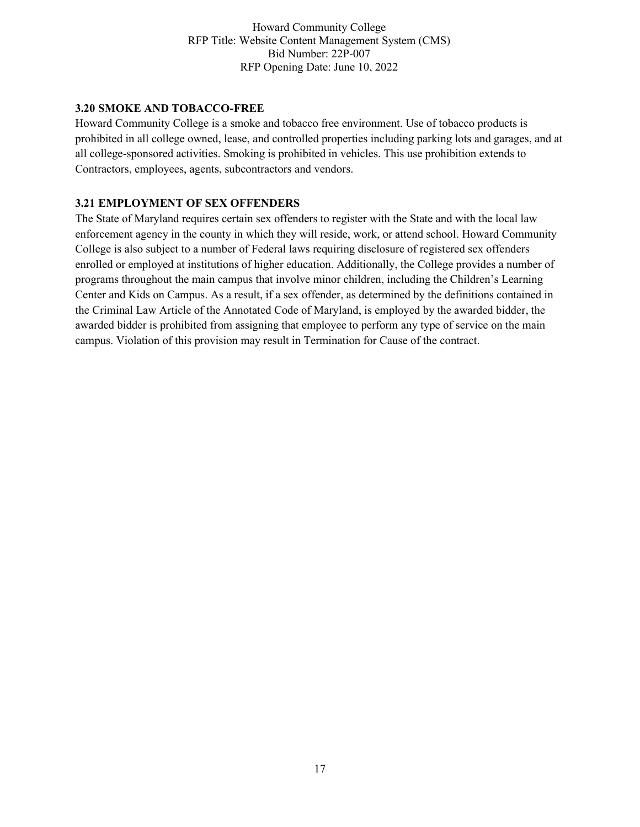### **3.20 SMOKE AND TOBACCO-FREE**

Howard Community College is a smoke and tobacco free environment. Use of tobacco products is prohibited in all college owned, lease, and controlled properties including parking lots and garages, and at all college-sponsored activities. Smoking is prohibited in vehicles. This use prohibition extends to Contractors, employees, agents, subcontractors and vendors.

### **3.21 EMPLOYMENT OF SEX OFFENDERS**

The State of Maryland requires certain sex offenders to register with the State and with the local law enforcement agency in the county in which they will reside, work, or attend school. Howard Community College is also subject to a number of Federal laws requiring disclosure of registered sex offenders enrolled or employed at institutions of higher education. Additionally, the College provides a number of programs throughout the main campus that involve minor children, including the Children's Learning Center and Kids on Campus. As a result, if a sex offender, as determined by the definitions contained in the Criminal Law Article of the Annotated Code of Maryland, is employed by the awarded bidder, the awarded bidder is prohibited from assigning that employee to perform any type of service on the main campus. Violation of this provision may result in Termination for Cause of the contract.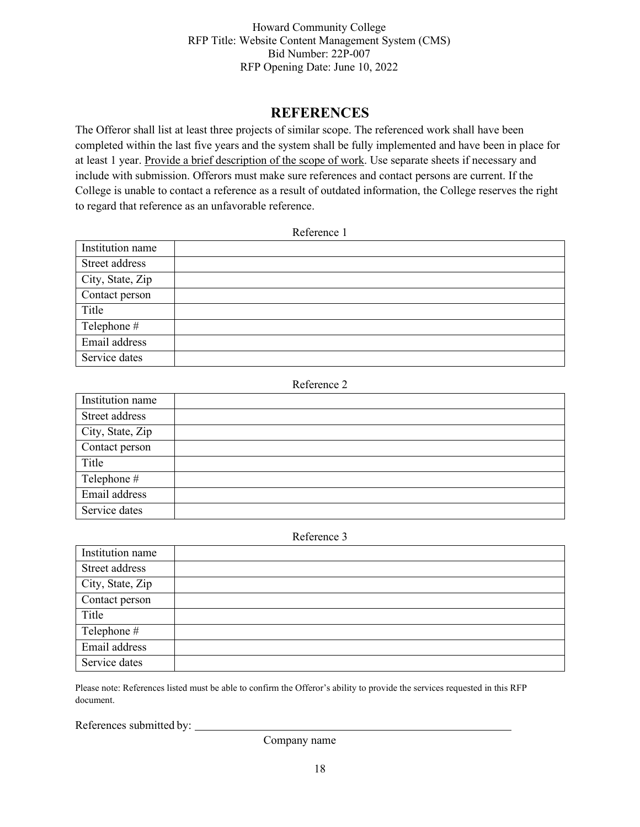# **REFERENCES**

The Offeror shall list at least three projects of similar scope. The referenced work shall have been completed within the last five years and the system shall be fully implemented and have been in place for at least 1 year. Provide a brief description of the scope of work. Use separate sheets if necessary and include with submission. Offerors must make sure references and contact persons are current. If the College is unable to contact a reference as a result of outdated information, the College reserves the right to regard that reference as an unfavorable reference.

#### Reference 1

| Institution name |  |
|------------------|--|
| Street address   |  |
| City, State, Zip |  |
| Contact person   |  |
| Title            |  |
| Telephone #      |  |
| Email address    |  |
| Service dates    |  |

#### Reference 2

| Institution name |  |
|------------------|--|
| Street address   |  |
| City, State, Zip |  |
| Contact person   |  |
| Title            |  |
| Telephone #      |  |
| Email address    |  |
| Service dates    |  |

#### Reference 3

| Institution name |  |
|------------------|--|
| Street address   |  |
| City, State, Zip |  |
| Contact person   |  |
| Title            |  |
| Telephone #      |  |
| Email address    |  |
| Service dates    |  |

Please note: References listed must be able to confirm the Offeror's ability to provide the services requested in this RFP document.

References submitted by:

Company name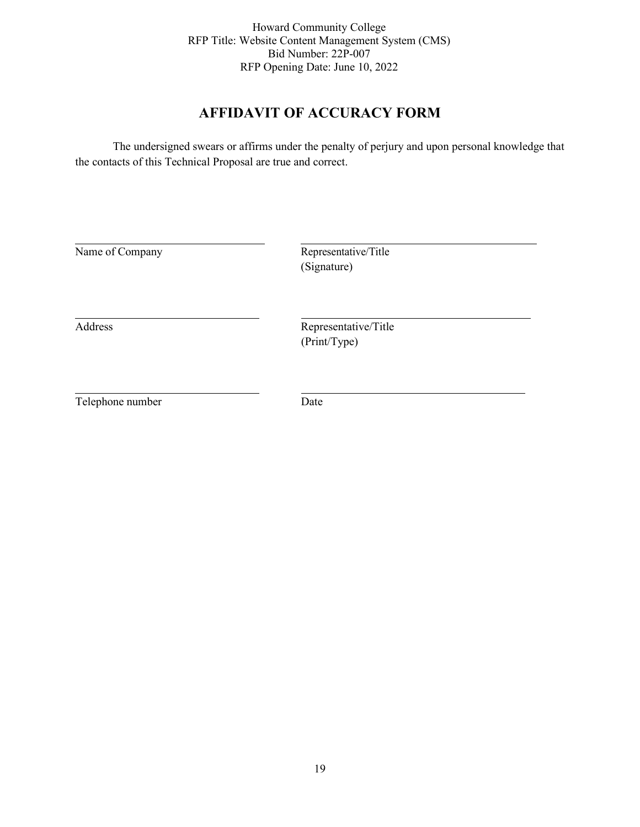# **AFFIDAVIT OF ACCURACY FORM**

The undersigned swears or affirms under the penalty of perjury and upon personal knowledge that the contacts of this Technical Proposal are true and correct.

| Name of Company  | Representative/Title<br>(Signature)  |  |
|------------------|--------------------------------------|--|
| Address          | Representative/Title<br>(Print/Type) |  |
| Telephone number | Date                                 |  |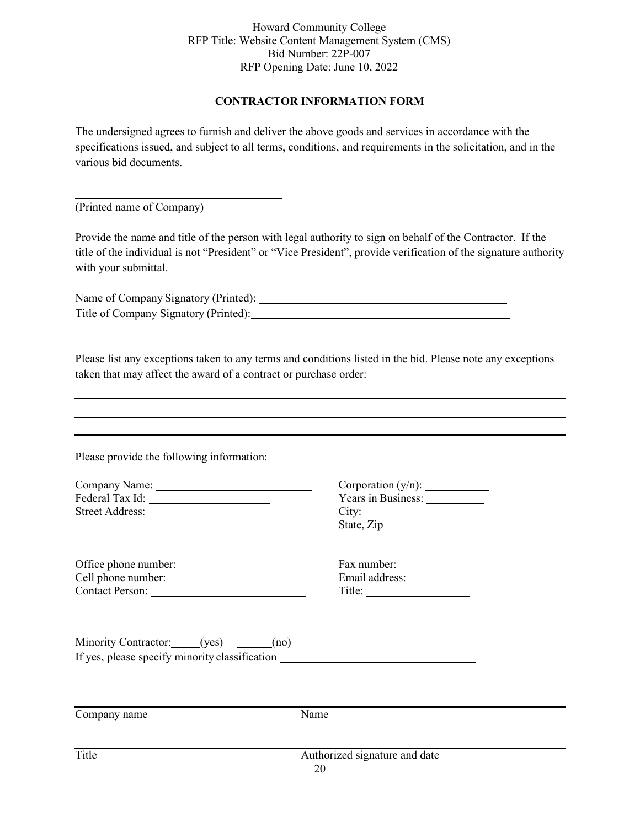# **CONTRACTOR INFORMATION FORM**

The undersigned agrees to furnish and deliver the above goods and services in accordance with the specifications issued, and subject to all terms, conditions, and requirements in the solicitation, and in the various bid documents.

(Printed name of Company)

Provide the name and title of the person with legal authority to sign on behalf of the Contractor. If the title of the individual is not "President" or "Vice President", provide verification of the signature authority with your submittal.

Name of Company Signatory (Printed): Title of Company Signatory (Printed):

Please list any exceptions taken to any terms and conditions listed in the bid. Please note any exceptions taken that may affect the award of a contract or purchase order:

Please provide the following information:

|                                                                                   | Years in Business:<br>State, Zip    |
|-----------------------------------------------------------------------------------|-------------------------------------|
| Office phone number:                                                              | $Title: \n$                         |
| Minority Contractor: (yes) (no)<br>If yes, please specify minority classification |                                     |
| Company name                                                                      | Name                                |
| Title                                                                             | Authorized signature and date<br>20 |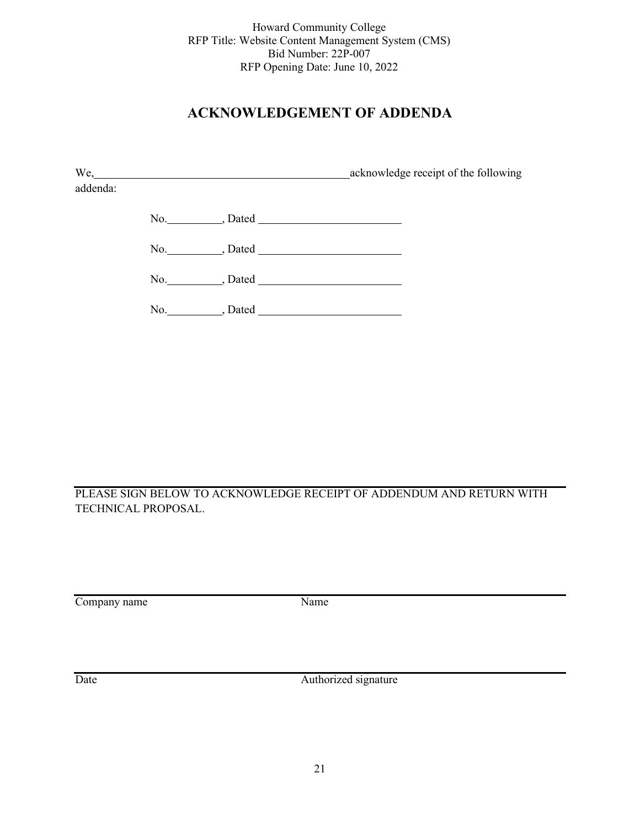# **ACKNOWLEDGEMENT OF ADDENDA**

| acknowledge receipt of the following |
|--------------------------------------|
|                                      |
|                                      |
|                                      |
|                                      |
|                                      |
|                                      |

PLEASE SIGN BELOW TO ACKNOWLEDGE RECEIPT OF ADDENDUM AND RETURN WITH TECHNICAL PROPOSAL.

Company name Name

Date Authorized signature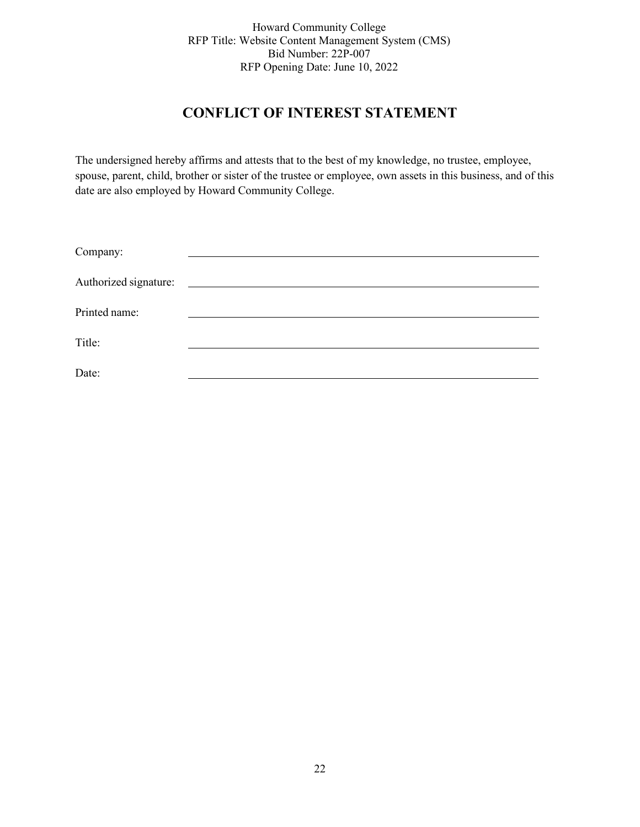# **CONFLICT OF INTEREST STATEMENT**

The undersigned hereby affirms and attests that to the best of my knowledge, no trustee, employee, spouse, parent, child, brother or sister of the trustee or employee, own assets in this business, and of this date are also employed by Howard Community College.

| Company:              |  |
|-----------------------|--|
| Authorized signature: |  |
| Printed name:         |  |
| Title:                |  |
| Date:                 |  |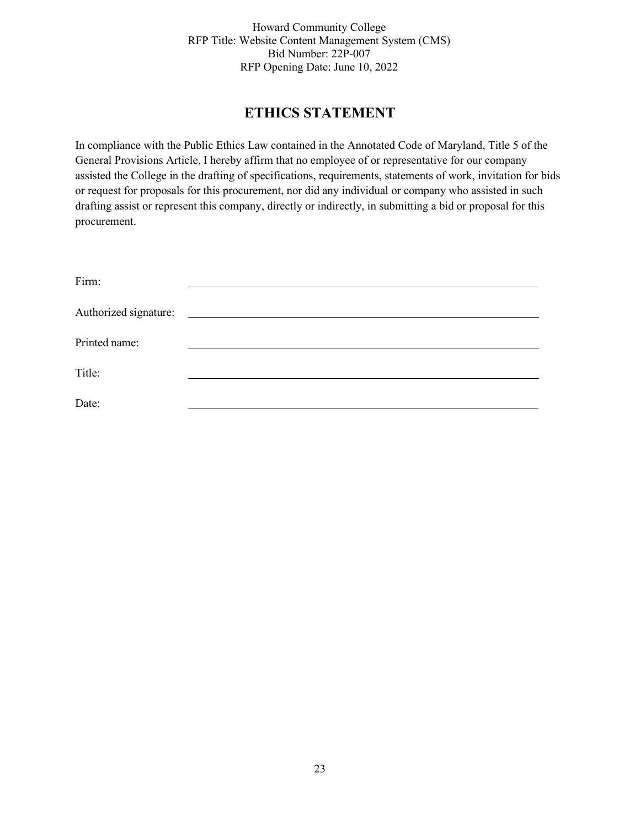# **ETHICS STATEMENT**

In compliance with the Public Ethics Law contained in the Annotated Code of Maryland, Title 5 of the General Provisions Article, I hereby affirm that no employee of or representative for our company assisted the College in the drafting of specifications, requirements, statements of work, invitation for bids or request for proposals for this procurement, nor did any individual or company who assisted in such drafting assist or represent this company, directly or indirectly, in submitting a bid or proposal for this procurement.

| Firm:                 |  |
|-----------------------|--|
| Authorized signature: |  |
| Printed name:         |  |
| Title:                |  |
| Date:                 |  |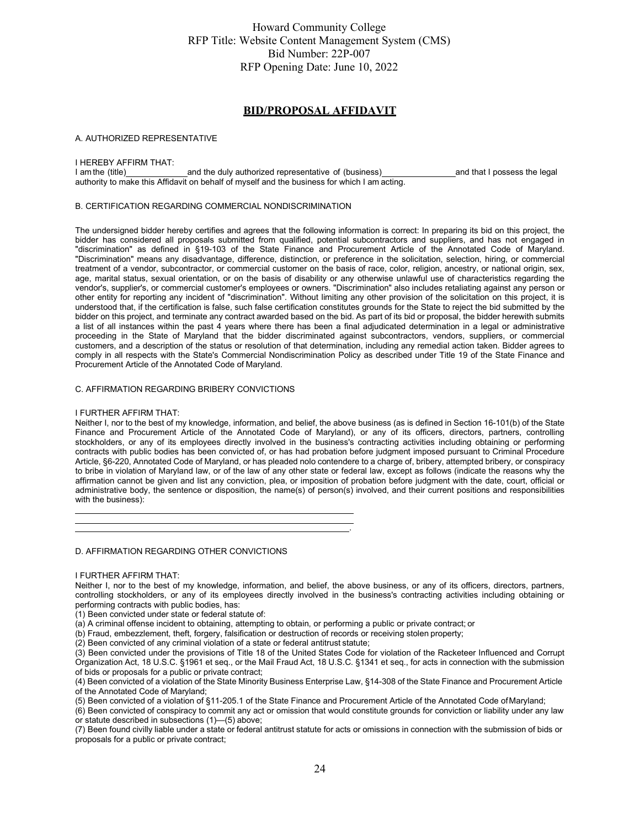#### **BID/PROPOSAL AFFIDAVIT**

#### A. AUTHORIZED REPRESENTATIVE

# I HEREBY AFFIRM THAT:<br>I am the (title)

I am the (title) and the duly authorized representative of (business) and that I possess the legal authority to make this Affidavit on behalf of myself and the business for which I am acting.

#### B. CERTIFICATION REGARDING COMMERCIAL NONDISCRIMINATION

The undersigned bidder hereby certifies and agrees that the following information is correct: In preparing its bid on this project, the bidder has considered all proposals submitted from qualified, potential subcontractors and suppliers, and has not engaged in "discrimination" as defined in §19-103 of the State Finance and Procurement Article of the Annotated Code of Maryland. "Discrimination" means any disadvantage, difference, distinction, or preference in the solicitation, selection, hiring, or commercial treatment of a vendor, subcontractor, or commercial customer on the basis of race, color, religion, ancestry, or national origin, sex, age, marital status, sexual orientation, or on the basis of disability or any otherwise unlawful use of characteristics regarding the vendor's, supplier's, or commercial customer's employees or owners. "Discrimination" also includes retaliating against any person or other entity for reporting any incident of "discrimination". Without limiting any other provision of the solicitation on this project, it is understood that, if the certification is false, such false certification constitutes grounds for the State to reject the bid submitted by the bidder on this project, and terminate any contract awarded based on the bid. As part of its bid or proposal, the bidder herewith submits a list of all instances within the past 4 years where there has been a final adjudicated determination in a legal or administrative proceeding in the State of Maryland that the bidder discriminated against subcontractors, vendors, suppliers, or commercial customers, and a description of the status or resolution of that determination, including any remedial action taken. Bidder agrees to comply in all respects with the State's Commercial Nondiscrimination Policy as described under Title 19 of the State Finance and Procurement Article of the Annotated Code of Maryland.

#### C. AFFIRMATION REGARDING BRIBERY CONVICTIONS

#### I FURTHER AFFIRM THAT:

Neither I, nor to the best of my knowledge, information, and belief, the above business (as is defined in Section 16-101(b) of the State Finance and Procurement Article of the Annotated Code of Maryland), or any of its officers, directors, partners, controlling stockholders, or any of its employees directly involved in the business's contracting activities including obtaining or performing contracts with public bodies has been convicted of, or has had probation before judgment imposed pursuant to Criminal Procedure Article, §6-220, Annotated Code of Maryland, or has pleaded nolo contendere to a charge of, bribery, attempted bribery, or conspiracy to bribe in violation of Maryland law, or of the law of any other state or federal law, except as follows (indicate the reasons why the affirmation cannot be given and list any conviction, plea, or imposition of probation before judgment with the date, court, official or administrative body, the sentence or disposition, the name(s) of person(s) involved, and their current positions and responsibilities with the business):

.

D. AFFIRMATION REGARDING OTHER CONVICTIONS

#### I FURTHER AFFIRM THAT:

Neither I, nor to the best of my knowledge, information, and belief, the above business, or any of its officers, directors, partners, controlling stockholders, or any of its employees directly involved in the business's contracting activities including obtaining or performing contracts with public bodies, has:

(1) Been convicted under state or federal statute of:

(a) A criminal offense incident to obtaining, attempting to obtain, or performing a public or private contract; or

(b) Fraud, embezzlement, theft, forgery, falsification or destruction of records or receiving stolen property;

(2) Been convicted of any criminal violation of a state or federal antitrust statute;

(3) Been convicted under the provisions of Title 18 of the United States Code for violation of the Racketeer Influenced and Corrupt Organization Act, 18 U.S.C. §1961 et seq., or the Mail Fraud Act, 18 U.S.C. §1341 et seq., for acts in connection with the submission of bids or proposals for a public or private contract;

(4) Been convicted of a violation of the State Minority Business Enterprise Law, §14-308 of the State Finance and Procurement Article of the Annotated Code of Maryland;

(5) Been convicted of a violation of §11-205.1 of the State Finance and Procurement Article of the Annotated Code ofMaryland;

(6) Been convicted of conspiracy to commit any act or omission that would constitute grounds for conviction or liability under any law or statute described in subsections (1)—(5) above;

(7) Been found civilly liable under a state or federal antitrust statute for acts or omissions in connection with the submission of bids or proposals for a public or private contract;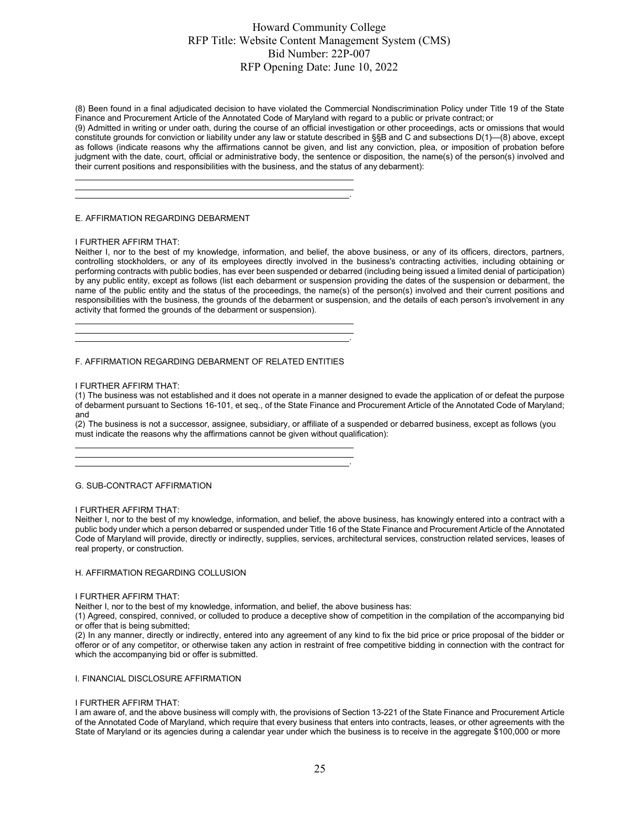(8) Been found in a final adjudicated decision to have violated the Commercial Nondiscrimination Policy under Title 19 of the State Finance and Procurement Article of the Annotated Code of Maryland with regard to a public or private contract; or

(9) Admitted in writing or under oath, during the course of an official investigation or other proceedings, acts or omissions that would constitute grounds for conviction or liability under any law or statute described in §§B and C and subsections D(1)—(8) above, except as follows (indicate reasons why the affirmations cannot be given, and list any conviction, plea, or imposition of probation before judgment with the date, court, official or administrative body, the sentence or disposition, the name(s) of the person(s) involved and their current positions and responsibilities with the business, and the status of any debarment):

.

.

.

#### E. AFFIRMATION REGARDING DEBARMENT

#### I FURTHER AFFIRM THAT:

Neither I, nor to the best of my knowledge, information, and belief, the above business, or any of its officers, directors, partners, controlling stockholders, or any of its employees directly involved in the business's contracting activities, including obtaining or performing contracts with public bodies, has ever been suspended or debarred (including being issued a limited denial of participation) by any public entity, except as follows (list each debarment or suspension providing the dates of the suspension or debarment, the name of the public entity and the status of the proceedings, the name(s) of the person(s) involved and their current positions and responsibilities with the business, the grounds of the debarment or suspension, and the details of each person's involvement in any activity that formed the grounds of the debarment or suspension).

#### F. AFFIRMATION REGARDING DEBARMENT OF RELATED ENTITIES

#### I FURTHER AFFIRM THAT:

(1) The business was not established and it does not operate in a manner designed to evade the application of or defeat the purpose of debarment pursuant to Sections 16-101, et seq., of the State Finance and Procurement Article of the Annotated Code of Maryland; and

(2) The business is not a successor, assignee, subsidiary, or affiliate of a suspended or debarred business, except as follows (you must indicate the reasons why the affirmations cannot be given without qualification):

#### G. SUB-CONTRACT AFFIRMATION

#### I FURTHER AFFIRM THAT:

Neither I, nor to the best of my knowledge, information, and belief, the above business, has knowingly entered into a contract with a public body under which a person debarred or suspended under Title 16 of the State Finance and Procurement Article of the Annotated Code of Maryland will provide, directly or indirectly, supplies, services, architectural services, construction related services, leases of real property, or construction.

#### H. AFFIRMATION REGARDING COLLUSION

#### I FURTHER AFFIRM THAT:

Neither I, nor to the best of my knowledge, information, and belief, the above business has:

(1) Agreed, conspired, connived, or colluded to produce a deceptive show of competition in the compilation of the accompanying bid or offer that is being submitted;

(2) In any manner, directly or indirectly, entered into any agreement of any kind to fix the bid price or price proposal of the bidder or offeror or of any competitor, or otherwise taken any action in restraint of free competitive bidding in connection with the contract for which the accompanying bid or offer is submitted.

#### I. FINANCIAL DISCLOSURE AFFIRMATION

#### I FURTHER AFFIRM THAT:

I am aware of, and the above business will comply with, the provisions of Section 13-221 of the State Finance and Procurement Article of the Annotated Code of Maryland, which require that every business that enters into contracts, leases, or other agreements with the State of Maryland or its agencies during a calendar year under which the business is to receive in the aggregate \$100,000 or more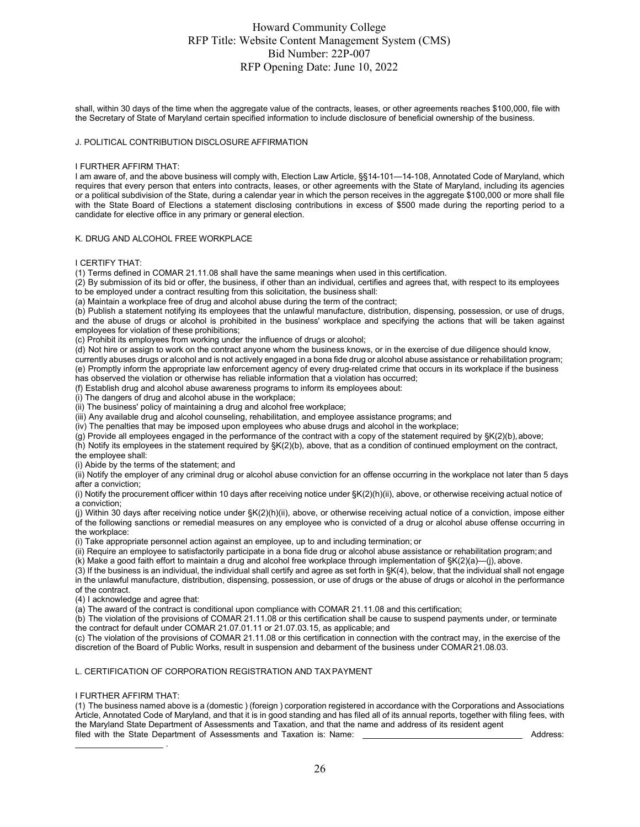shall, within 30 days of the time when the aggregate value of the contracts, leases, or other agreements reaches \$100,000, file with the Secretary of State of Maryland certain specified information to include disclosure of beneficial ownership of the business.

#### J. POLITICAL CONTRIBUTION DISCLOSURE AFFIRMATION

#### I FURTHER AFFIRM THAT:

I am aware of, and the above business will comply with, Election Law Article, §§14-101—14-108, Annotated Code of Maryland, which requires that every person that enters into contracts, leases, or other agreements with the State of Maryland, including its agencies or a political subdivision of the State, during a calendar year in which the person receives in the aggregate \$100,000 or more shall file with the State Board of Elections a statement disclosing contributions in excess of \$500 made during the reporting period to a candidate for elective office in any primary or general election.

#### K. DRUG AND ALCOHOL FREE WORKPLACE

I CERTIFY THAT:

(1) Terms defined in COMAR 21.11.08 shall have the same meanings when used in this certification.

 $(2)$  By submission of its bid or offer, the business, if other than an individual, certifies and agrees that, with respect to its employees to be employed under a contract resulting from this solicitation, the business shall:

(a) Maintain a workplace free of drug and alcohol abuse during the term of the contract;

(b) Publish a statement notifying its employees that the unlawful manufacture, distribution, dispensing, possession, or use of drugs, and the abuse of drugs or alcohol is prohibited in the business' workplace and specifying the actions that will be taken against employees for violation of these prohibitions;

(c) Prohibit its employees from working under the influence of drugs or alcohol;

(d) Not hire or assign to work on the contract anyone whom the business knows, or in the exercise of due diligence should know, currently abuses drugs or alcohol and is not actively engaged in a bona fide drug or alcohol abuse assistance or rehabilitation program; (e) Promptly inform the appropriate law enforcement agency of every drug-related crime that occurs in its workplace if the business has observed the violation or otherwise has reliable information that a violation has occurred;

(f) Establish drug and alcohol abuse awareness programs to inform its employees about:

(i) The dangers of drug and alcohol abuse in the workplace;

(ii) The business' policy of maintaining a drug and alcohol free workplace;

(iii) Any available drug and alcohol counseling, rehabilitation, and employee assistance programs; and

(iv) The penalties that may be imposed upon employees who abuse drugs and alcohol in the workplace;

 $(q)$  Provide all employees engaged in the performance of the contract with a copy of the statement required by  $\frac{S(K(2)(b))}{S(K(2)(b))}$  above;

(h) Notify its employees in the statement required by §K(2)(b), above, that as a condition of continued employment on the contract, the employee shall:

(i) Abide by the terms of the statement; and

(ii) Notify the employer of any criminal drug or alcohol abuse conviction for an offense occurring in the workplace not later than 5 days after a conviction;

(i) Notify the procurement officer within 10 days after receiving notice under §K(2)(h)(ii), above, or otherwise receiving actual notice of a conviction;

(j) Within 30 days after receiving notice under §K(2)(h)(ii), above, or otherwise receiving actual notice of a conviction, impose either of the following sanctions or remedial measures on any employee who is convicted of a drug or alcohol abuse offense occurring in the workplace:

(i) Take appropriate personnel action against an employee, up to and including termination; or

(ii) Require an employee to satisfactorily participate in a bona fide drug or alcohol abuse assistance or rehabilitation program;and (k) Make a good faith effort to maintain a drug and alcohol free workplace through implementation of §K(2)(a)—(j), above.

(3) If the business is an individual, the individual shall certify and agree as set forth in §K(4), below, that the individual shall not engage in the unlawful manufacture, distribution, dispensing, possession, or use of drugs or the abuse of drugs or alcohol in the performance

of the contract. (4) I acknowledge and agree that:

(a) The award of the contract is conditional upon compliance with COMAR 21.11.08 and this certification;

(b) The violation of the provisions of COMAR 21.11.08 or this certification shall be cause to suspend payments under, or terminate the contract for default under COMAR 21.07.01.11 or 21.07.03.15, as applicable; and

(c) The violation of the provisions of COMAR 21.11.08 or this certification in connection with the contract may, in the exercise of the discretion of the Board of Public Works, result in suspension and debarment of the business under COMAR 21.08.03.

#### L. CERTIFICATION OF CORPORATION REGISTRATION AND TAXPAYMENT

#### I FURTHER AFFIRM THAT:

.

(1) The business named above is a (domestic ) (foreign ) corporation registered in accordance with the Corporations and Associations Article, Annotated Code of Maryland, and that it is in good standing and has filed all of its annual reports, together with filing fees, with the Maryland State Department of Assessments and Taxation, and that the name and address of its resident agent filed with the State Department of Assessments and Taxation is: Name:

Address: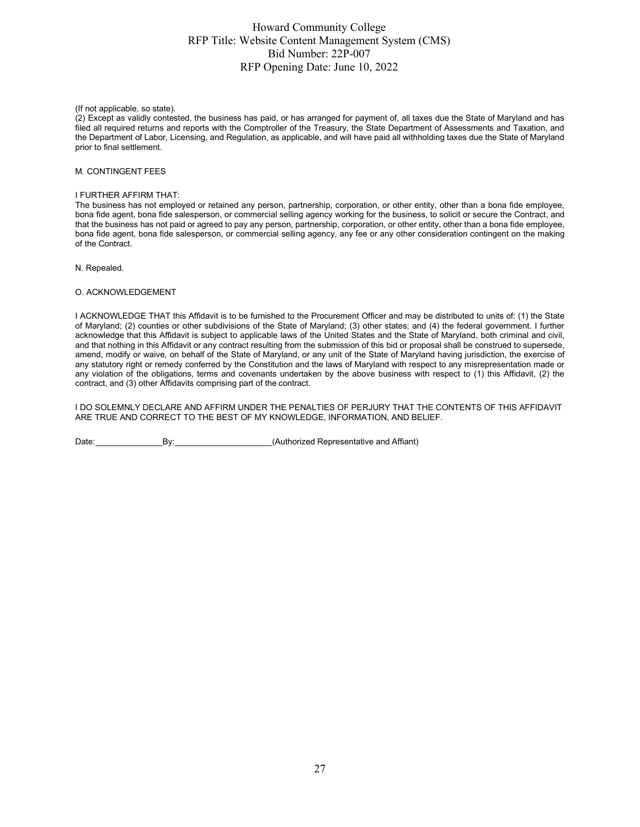(If not applicable, so state).

(2) Except as validly contested, the business has paid, or has arranged for payment of, all taxes due the State of Maryland and has filed all required returns and reports with the Comptroller of the Treasury, the State Department of Assessments and Taxation, and the Department of Labor, Licensing, and Regulation, as applicable, and will have paid all withholding taxes due the State of Maryland prior to final settlement.

#### M. CONTINGENT FEES

#### I FURTHER AFFIRM THAT:

The business has not employed or retained any person, partnership, corporation, or other entity, other than a bona fide employee, bona fide agent, bona fide salesperson, or commercial selling agency working for the business, to solicit or secure the Contract, and that the business has not paid or agreed to pay any person, partnership, corporation, or other entity, other than a bona fide employee, bona fide agent, bona fide salesperson, or commercial selling agency, any fee or any other consideration contingent on the making of the Contract.

N. Repealed.

#### O. ACKNOWLEDGEMENT

I ACKNOWLEDGE THAT this Affidavit is to be furnished to the Procurement Officer and may be distributed to units of: (1) the State of Maryland; (2) counties or other subdivisions of the State of Maryland; (3) other states; and (4) the federal government. I further acknowledge that this Affidavit is subject to applicable laws of the United States and the State of Maryland, both criminal and civil, and that nothing in this Affidavit or any contract resulting from the submission of this bid or proposal shall be construed to supersede, amend, modify or waive, on behalf of the State of Maryland, or any unit of the State of Maryland having jurisdiction, the exercise of any statutory right or remedy conferred by the Constitution and the laws of Maryland with respect to any misrepresentation made or any violation of the obligations, terms and covenants undertaken by the above business with respect to (1) this Affidavit, (2) the contract, and (3) other Affidavits comprising part of the contract.

I DO SOLEMNLY DECLARE AND AFFIRM UNDER THE PENALTIES OF PERJURY THAT THE CONTENTS OF THIS AFFIDAVIT ARE TRUE AND CORRECT TO THE BEST OF MY KNOWLEDGE, INFORMATION, AND BELIEF.

Date: By: By: By: (Authorized Representative and Affiant)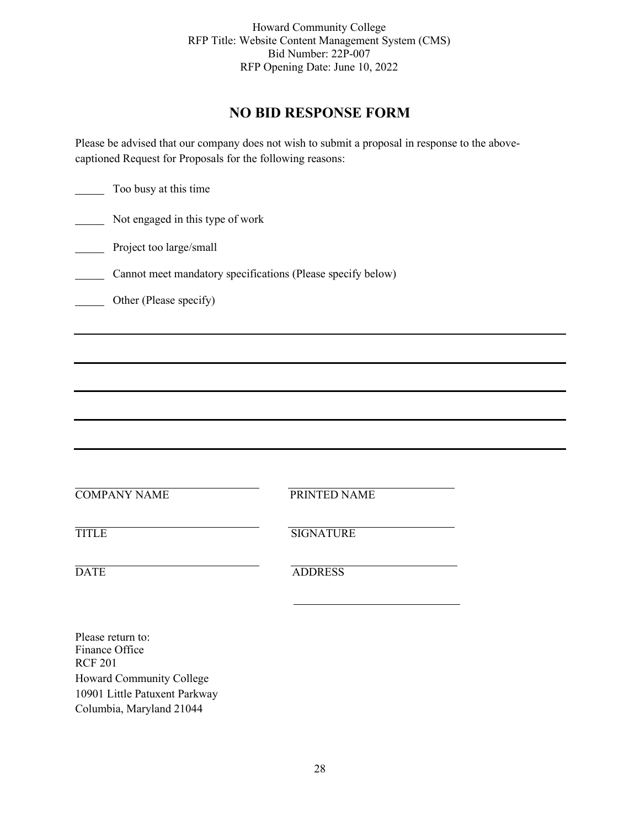# **NO BID RESPONSE FORM**

Please be advised that our company does not wish to submit a proposal in response to the abovecaptioned Request for Proposals for the following reasons:

| Too busy at this time                          |                                                             |  |
|------------------------------------------------|-------------------------------------------------------------|--|
| Not engaged in this type of work               |                                                             |  |
| Project too large/small                        |                                                             |  |
|                                                | Cannot meet mandatory specifications (Please specify below) |  |
| Other (Please specify)                         |                                                             |  |
|                                                |                                                             |  |
|                                                |                                                             |  |
|                                                |                                                             |  |
|                                                |                                                             |  |
|                                                |                                                             |  |
|                                                |                                                             |  |
| <b>COMPANY NAME</b>                            | PRINTED NAME                                                |  |
| <b>TITLE</b>                                   | <b>SIGNATURE</b>                                            |  |
| <b>DATE</b>                                    | <b>ADDRESS</b>                                              |  |
|                                                |                                                             |  |
| Please return to:<br>Finance Office<br>DCD 201 |                                                             |  |

RCF 201 Howard Community College 10901 Little Patuxent Parkway Columbia, Maryland 21044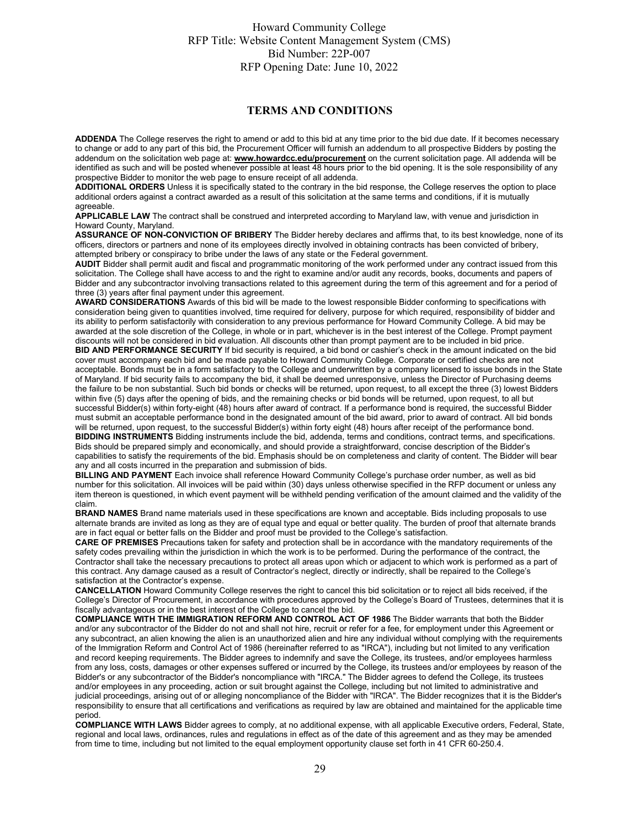#### **TERMS AND CONDITIONS**

**ADDENDA** The College reserves the right to amend or add to this bid at any time prior to the bid due date. If it becomes necessary to change or add to any part of this bid, the Procurement Officer will furnish an addendum to all prospective Bidders by posting the addendum on the solicitation web page at: **[www.howardcc.edu/procurement](http://www.howardcc.edu/procurement)** on the current solicitation page. All addenda will be identified as such and will be posted whenever possible at least 48 hours prior to the bid opening. It is the sole responsibility of any prospective Bidder to monitor the web page to ensure receipt of all addenda.

**ADDITIONAL ORDERS** Unless it is specifically stated to the contrary in the bid response, the College reserves the option to place additional orders against a contract awarded as a result of this solicitation at the same terms and conditions, if it is mutually agreeable.

**APPLICABLE LAW** The contract shall be construed and interpreted according to Maryland law, with venue and jurisdiction in Howard County, Maryland.

**ASSURANCE OF NON-CONVICTION OF BRIBERY** The Bidder hereby declares and affirms that, to its best knowledge, none of its officers, directors or partners and none of its employees directly involved in obtaining contracts has been convicted of bribery, attempted bribery or conspiracy to bribe under the laws of any state or the Federal government.

**AUDIT** Bidder shall permit audit and fiscal and programmatic monitoring of the work performed under any contract issued from this solicitation. The College shall have access to and the right to examine and/or audit any records, books, documents and papers of Bidder and any subcontractor involving transactions related to this agreement during the term of this agreement and for a period of three (3) years after final payment under this agreement.

**AWARD CONSIDERATIONS** Awards of this bid will be made to the lowest responsible Bidder conforming to specifications with consideration being given to quantities involved, time required for delivery, purpose for which required, responsibility of bidder and its ability to perform satisfactorily with consideration to any previous performance for Howard Community College. A bid may be awarded at the sole discretion of the College, in whole or in part, whichever is in the best interest of the College. Prompt payment discounts will not be considered in bid evaluation. All discounts other than prompt payment are to be included in bid price.

**BID AND PERFORMANCE SECURITY** If bid security is required, a bid bond or cashier's check in the amount indicated on the bid cover must accompany each bid and be made payable to Howard Community College. Corporate or certified checks are not acceptable. Bonds must be in a form satisfactory to the College and underwritten by a company licensed to issue bonds in the State of Maryland. If bid security fails to accompany the bid, it shall be deemed unresponsive, unless the Director of Purchasing deems the failure to be non substantial. Such bid bonds or checks will be returned, upon request, to all except the three (3) lowest Bidders within five (5) days after the opening of bids, and the remaining checks or bid bonds will be returned, upon request, to all but successful Bidder(s) within forty-eight (48) hours after award of contract. If a performance bond is required, the successful Bidder must submit an acceptable performance bond in the designated amount of the bid award, prior to award of contract. All bid bonds will be returned, upon request, to the successful Bidder(s) within forty eight (48) hours after receipt of the performance bond. **BIDDING INSTRUMENTS** Bidding instruments include the bid, addenda, terms and conditions, contract terms, and specifications. Bids should be prepared simply and economically, and should provide a straightforward, concise description of the Bidder's capabilities to satisfy the requirements of the bid. Emphasis should be on completeness and clarity of content. The Bidder will bear any and all costs incurred in the preparation and submission of bids.

**BILLING AND PAYMENT** Each invoice shall reference Howard Community College's purchase order number, as well as bid number for this solicitation. All invoices will be paid within (30) days unless otherwise specified in the RFP document or unless any item thereon is questioned, in which event payment will be withheld pending verification of the amount claimed and the validity of the claim.

**BRAND NAMES** Brand name materials used in these specifications are known and acceptable. Bids including proposals to use alternate brands are invited as long as they are of equal type and equal or better quality. The burden of proof that alternate brands are in fact equal or better falls on the Bidder and proof must be provided to the College's satisfaction.

**CARE OF PREMISES** Precautions taken for safety and protection shall be in accordance with the mandatory requirements of the safety codes prevailing within the jurisdiction in which the work is to be performed. During the performance of the contract, the Contractor shall take the necessary precautions to protect all areas upon which or adjacent to which work is performed as a part of this contract. Any damage caused as a result of Contractor's neglect, directly or indirectly, shall be repaired to the College's satisfaction at the Contractor's expense.

**CANCELLATION** Howard Community College reserves the right to cancel this bid solicitation or to reject all bids received, if the College's Director of Procurement, in accordance with procedures approved by the College's Board of Trustees, determines that it is fiscally advantageous or in the best interest of the College to cancel the bid.

**COMPLIANCE WITH THE IMMIGRATION REFORM AND CONTROL ACT OF 1986** The Bidder warrants that both the Bidder and/or any subcontractor of the Bidder do not and shall not hire, recruit or refer for a fee, for employment under this Agreement or any subcontract, an alien knowing the alien is an unauthorized alien and hire any individual without complying with the requirements of the Immigration Reform and Control Act of 1986 (hereinafter referred to as "IRCA"), including but not limited to any verification and record keeping requirements. The Bidder agrees to indemnify and save the College, its trustees, and/or employees harmless from any loss, costs, damages or other expenses suffered or incurred by the College, its trustees and/or employees by reason of the Bidder's or any subcontractor of the Bidder's noncompliance with "IRCA." The Bidder agrees to defend the College, its trustees and/or employees in any proceeding, action or suit brought against the College, including but not limited to administrative and judicial proceedings, arising out of or alleging noncompliance of the Bidder with "IRCA". The Bidder recognizes that it is the Bidder's responsibility to ensure that all certifications and verifications as required by law are obtained and maintained for the applicable time period.

**COMPLIANCE WITH LAWS** Bidder agrees to comply, at no additional expense, with all applicable Executive orders, Federal, State, regional and local laws, ordinances, rules and regulations in effect as of the date of this agreement and as they may be amended from time to time, including but not limited to the equal employment opportunity clause set forth in 41 CFR 60-250.4.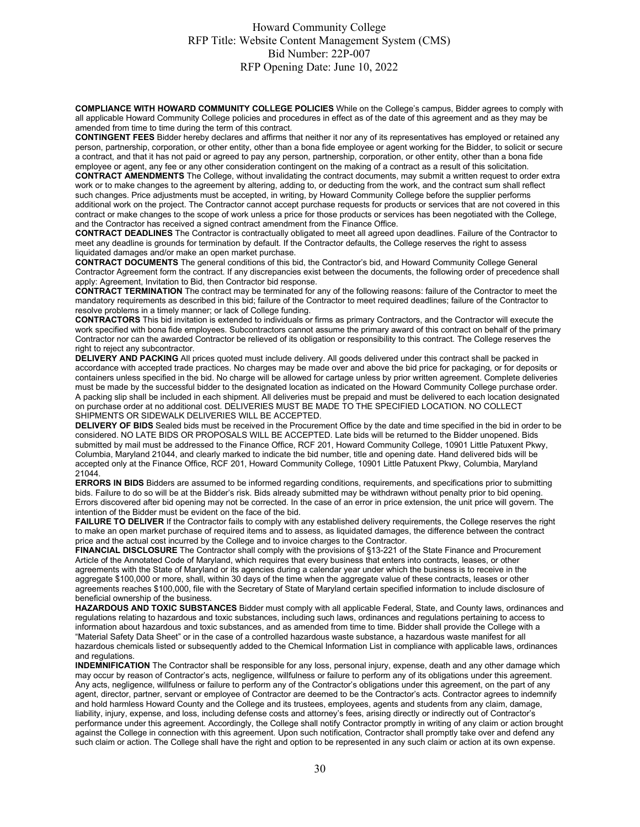**COMPLIANCE WITH HOWARD COMMUNITY COLLEGE POLICIES** While on the College's campus, Bidder agrees to comply with all applicable Howard Community College policies and procedures in effect as of the date of this agreement and as they may be amended from time to time during the term of this contract.

**CONTINGENT FEES** Bidder hereby declares and affirms that neither it nor any of its representatives has employed or retained any person, partnership, corporation, or other entity, other than a bona fide employee or agent working for the Bidder, to solicit or secure a contract, and that it has not paid or agreed to pay any person, partnership, corporation, or other entity, other than a bona fide employee or agent, any fee or any other consideration contingent on the making of a contract as a result of this solicitation.

**CONTRACT AMENDMENTS** The College, without invalidating the contract documents, may submit a written request to order extra work or to make changes to the agreement by altering, adding to, or deducting from the work, and the contract sum shall reflect such changes. Price adjustments must be accepted, in writing, by Howard Community College before the supplier performs additional work on the project. The Contractor cannot accept purchase requests for products or services that are not covered in this contract or make changes to the scope of work unless a price for those products or services has been negotiated with the College, and the Contractor has received a signed contract amendment from the Finance Office.

**CONTRACT DEADLINES** The Contractor is contractually obligated to meet all agreed upon deadlines. Failure of the Contractor to meet any deadline is grounds for termination by default. If the Contractor defaults, the College reserves the right to assess liquidated damages and/or make an open market purchase.

**CONTRACT DOCUMENTS** The general conditions of this bid, the Contractor's bid, and Howard Community College General Contractor Agreement form the contract. If any discrepancies exist between the documents, the following order of precedence shall apply: Agreement, Invitation to Bid, then Contractor bid response.

**CONTRACT TERMINATION** The contract may be terminated for any of the following reasons: failure of the Contractor to meet the mandatory requirements as described in this bid; failure of the Contractor to meet required deadlines; failure of the Contractor to resolve problems in a timely manner; or lack of College funding.

**CONTRACTORS** This bid invitation is extended to individuals or firms as primary Contractors, and the Contractor will execute the work specified with bona fide employees. Subcontractors cannot assume the primary award of this contract on behalf of the primary Contractor nor can the awarded Contractor be relieved of its obligation or responsibility to this contract. The College reserves the right to reject any subcontractor.

**DELIVERY AND PACKING** All prices quoted must include delivery. All goods delivered under this contract shall be packed in accordance with accepted trade practices. No charges may be made over and above the bid price for packaging, or for deposits or containers unless specified in the bid. No charge will be allowed for cartage unless by prior written agreement. Complete deliveries must be made by the successful bidder to the designated location as indicated on the Howard Community College purchase order. A packing slip shall be included in each shipment. All deliveries must be prepaid and must be delivered to each location designated on purchase order at no additional cost. DELIVERIES MUST BE MADE TO THE SPECIFIED LOCATION. NO COLLECT SHIPMENTS OR SIDEWALK DELIVERIES WILL BE ACCEPTED.

**DELIVERY OF BIDS** Sealed bids must be received in the Procurement Office by the date and time specified in the bid in order to be considered. NO LATE BIDS OR PROPOSALS WILL BE ACCEPTED. Late bids will be returned to the Bidder unopened. Bids submitted by mail must be addressed to the Finance Office, RCF 201, Howard Community College, 10901 Little Patuxent Pkwy, Columbia, Maryland 21044, and clearly marked to indicate the bid number, title and opening date. Hand delivered bids will be accepted only at the Finance Office, RCF 201, Howard Community College, 10901 Little Patuxent Pkwy, Columbia, Maryland 21044.

**ERRORS IN BIDS** Bidders are assumed to be informed regarding conditions, requirements, and specifications prior to submitting bids. Failure to do so will be at the Bidder's risk. Bids already submitted may be withdrawn without penalty prior to bid opening. Errors discovered after bid opening may not be corrected. In the case of an error in price extension, the unit price will govern. The intention of the Bidder must be evident on the face of the bid.

**FAILURE TO DELIVER** If the Contractor fails to comply with any established delivery requirements, the College reserves the right to make an open market purchase of required items and to assess, as liquidated damages, the difference between the contract price and the actual cost incurred by the College and to invoice charges to the Contractor.

**FINANCIAL DISCLOSURE** The Contractor shall comply with the provisions of §13-221 of the State Finance and Procurement Article of the Annotated Code of Maryland, which requires that every business that enters into contracts, leases, or other agreements with the State of Maryland or its agencies during a calendar year under which the business is to receive in the aggregate \$100,000 or more, shall, within 30 days of the time when the aggregate value of these contracts, leases or other agreements reaches \$100,000, file with the Secretary of State of Maryland certain specified information to include disclosure of beneficial ownership of the business.

**HAZARDOUS AND TOXIC SUBSTANCES** Bidder must comply with all applicable Federal, State, and County laws, ordinances and regulations relating to hazardous and toxic substances, including such laws, ordinances and regulations pertaining to access to information about hazardous and toxic substances, and as amended from time to time. Bidder shall provide the College with a "Material Safety Data Sheet" or in the case of a controlled hazardous waste substance, a hazardous waste manifest for all hazardous chemicals listed or subsequently added to the Chemical Information List in compliance with applicable laws, ordinances and regulations.

**INDEMNIFICATION** The Contractor shall be responsible for any loss, personal injury, expense, death and any other damage which may occur by reason of Contractor's acts, negligence, willfulness or failure to perform any of its obligations under this agreement. Any acts, negligence, willfulness or failure to perform any of the Contractor's obligations under this agreement, on the part of any agent, director, partner, servant or employee of Contractor are deemed to be the Contractor's acts. Contractor agrees to indemnify and hold harmless Howard County and the College and its trustees, employees, agents and students from any claim, damage, liability, injury, expense, and loss, including defense costs and attorney's fees, arising directly or indirectly out of Contractor's performance under this agreement. Accordingly, the College shall notify Contractor promptly in writing of any claim or action brought against the College in connection with this agreement. Upon such notification, Contractor shall promptly take over and defend any such claim or action. The College shall have the right and option to be represented in any such claim or action at its own expense.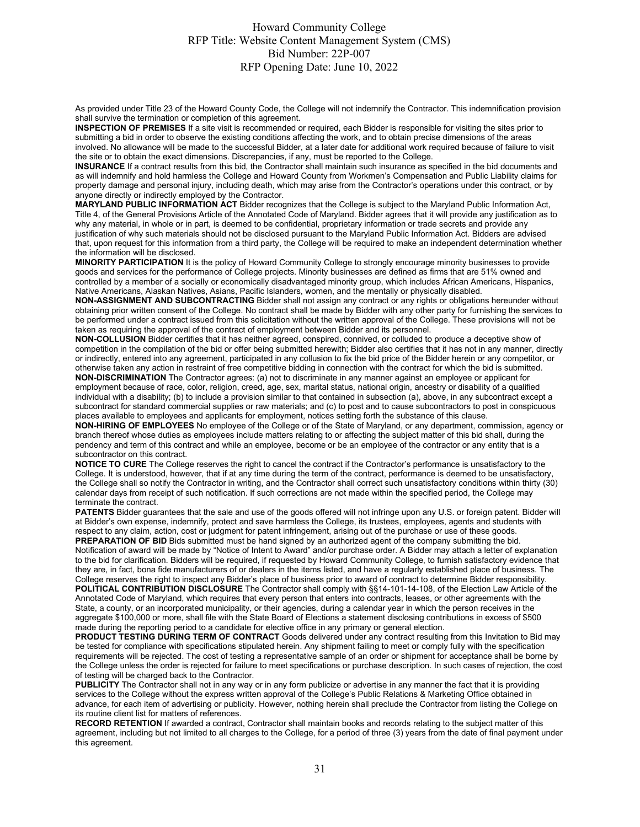As provided under Title 23 of the Howard County Code, the College will not indemnify the Contractor. This indemnification provision shall survive the termination or completion of this agreement.

**INSPECTION OF PREMISES** If a site visit is recommended or required, each Bidder is responsible for visiting the sites prior to submitting a bid in order to observe the existing conditions affecting the work, and to obtain precise dimensions of the areas involved. No allowance will be made to the successful Bidder, at a later date for additional work required because of failure to visit the site or to obtain the exact dimensions. Discrepancies, if any, must be reported to the College.

**INSURANCE** If a contract results from this bid, the Contractor shall maintain such insurance as specified in the bid documents and as will indemnify and hold harmless the College and Howard County from Workmen's Compensation and Public Liability claims for property damage and personal injury, including death, which may arise from the Contractor's operations under this contract, or by anyone directly or indirectly employed by the Contractor.

**MARYLAND PUBLIC INFORMATION ACT** Bidder recognizes that the College is subject to the Maryland Public Information Act, Title 4, of the General Provisions Article of the Annotated Code of Maryland. Bidder agrees that it will provide any justification as to why any material, in whole or in part, is deemed to be confidential, proprietary information or trade secrets and provide any justification of why such materials should not be disclosed pursuant to the Maryland Public Information Act. Bidders are advised that, upon request for this information from a third party, the College will be required to make an independent determination whether the information will be disclosed.

**MINORITY PARTICIPATION** It is the policy of Howard Community College to strongly encourage minority businesses to provide goods and services for the performance of College projects. Minority businesses are defined as firms that are 51% owned and controlled by a member of a socially or economically disadvantaged minority group, which includes African Americans, Hispanics, Native Americans, Alaskan Natives, Asians, Pacific Islanders, women, and the mentally or physically disabled.

**NON-ASSIGNMENT AND SUBCONTRACTING** Bidder shall not assign any contract or any rights or obligations hereunder without obtaining prior written consent of the College. No contract shall be made by Bidder with any other party for furnishing the services to be performed under a contract issued from this solicitation without the written approval of the College. These provisions will not be taken as requiring the approval of the contract of employment between Bidder and its personnel.

**NON-COLLUSION** Bidder certifies that it has neither agreed, conspired, connived, or colluded to produce a deceptive show of competition in the compilation of the bid or offer being submitted herewith; Bidder also certifies that it has not in any manner, directly or indirectly, entered into any agreement, participated in any collusion to fix the bid price of the Bidder herein or any competitor, or otherwise taken any action in restraint of free competitive bidding in connection with the contract for which the bid is submitted. **NON-DISCRIMINATION** The Contractor agrees: (a) not to discriminate in any manner against an employee or applicant for employment because of race, color, religion, creed, age, sex, marital status, national origin, ancestry or disability of a qualified individual with a disability; (b) to include a provision similar to that contained in subsection (a), above, in any subcontract except a subcontract for standard commercial supplies or raw materials; and (c) to post and to cause subcontractors to post in conspicuous

places available to employees and applicants for employment, notices setting forth the substance of this clause. **NON-HIRING OF EMPLOYEES** No employee of the College or of the State of Maryland, or any department, commission, agency or branch thereof whose duties as employees include matters relating to or affecting the subject matter of this bid shall, during the pendency and term of this contract and while an employee, become or be an employee of the contractor or any entity that is a subcontractor on this contract.

**NOTICE TO CURE** The College reserves the right to cancel the contract if the Contractor's performance is unsatisfactory to the College. It is understood, however, that if at any time during the term of the contract, performance is deemed to be unsatisfactory, the College shall so notify the Contractor in writing, and the Contractor shall correct such unsatisfactory conditions within thirty (30) calendar days from receipt of such notification. If such corrections are not made within the specified period, the College may terminate the contract.

**PATENTS** Bidder guarantees that the sale and use of the goods offered will not infringe upon any U.S. or foreign patent. Bidder will at Bidder's own expense, indemnify, protect and save harmless the College, its trustees, employees, agents and students with respect to any claim, action, cost or judgment for patent infringement, arising out of the purchase or use of these goods. **PREPARATION OF BID** Bids submitted must be hand signed by an authorized agent of the company submitting the bid. Notification of award will be made by "Notice of Intent to Award" and/or purchase order. A Bidder may attach a letter of explanation to the bid for clarification. Bidders will be required, if requested by Howard Community College, to furnish satisfactory evidence that they are, in fact, bona fide manufacturers of or dealers in the items listed, and have a regularly established place of business. The

College reserves the right to inspect any Bidder's place of business prior to award of contract to determine Bidder responsibility. **POLITICAL CONTRIBUTION DISCLOSURE** The Contractor shall comply with §§14-101-14-108, of the Election Law Article of the Annotated Code of Maryland, which requires that every person that enters into contracts, leases, or other agreements with the State, a county, or an incorporated municipality, or their agencies, during a calendar year in which the person receives in the aggregate \$100,000 or more, shall file with the State Board of Elections a statement disclosing contributions in excess of \$500 made during the reporting period to a candidate for elective office in any primary or general election.

**PRODUCT TESTING DURING TERM OF CONTRACT** Goods delivered under any contract resulting from this Invitation to Bid may be tested for compliance with specifications stipulated herein. Any shipment failing to meet or comply fully with the specification requirements will be rejected. The cost of testing a representative sample of an order or shipment for acceptance shall be borne by the College unless the order is rejected for failure to meet specifications or purchase description. In such cases of rejection, the cost of testing will be charged back to the Contractor.

**PUBLICITY** The Contractor shall not in any way or in any form publicize or advertise in any manner the fact that it is providing services to the College without the express written approval of the College's Public Relations & Marketing Office obtained in advance, for each item of advertising or publicity. However, nothing herein shall preclude the Contractor from listing the College on its routine client list for matters of references.

**RECORD RETENTION** If awarded a contract, Contractor shall maintain books and records relating to the subject matter of this agreement, including but not limited to all charges to the College, for a period of three (3) years from the date of final payment under this agreement.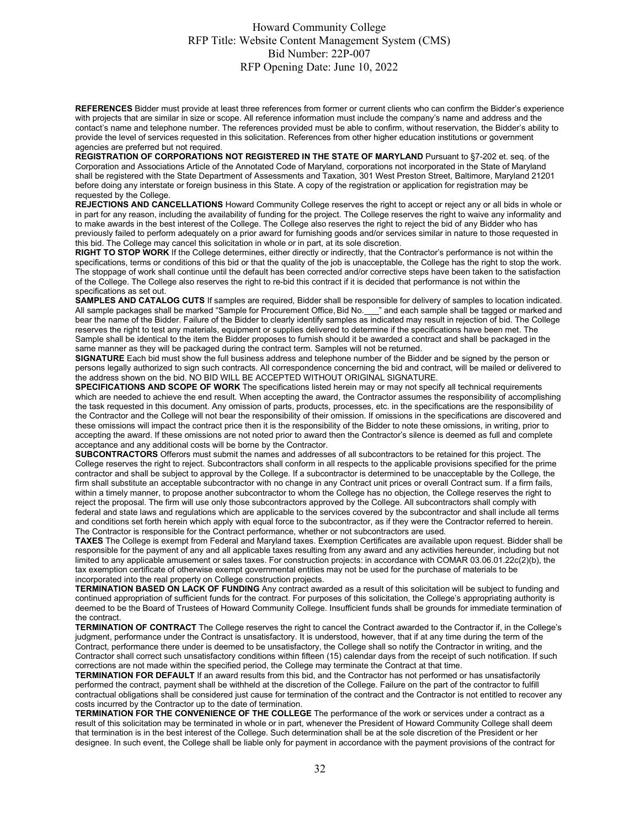**REFERENCES** Bidder must provide at least three references from former or current clients who can confirm the Bidder's experience with projects that are similar in size or scope. All reference information must include the company's name and address and the contact's name and telephone number. The references provided must be able to confirm, without reservation, the Bidder's ability to provide the level of services requested in this solicitation. References from other higher education institutions or government agencies are preferred but not required.

**REGISTRATION OF CORPORATIONS NOT REGISTERED IN THE STATE OF MARYLAND** Pursuant to §7-202 et. seq. of the Corporation and Associations Article of the Annotated Code of Maryland, corporations not incorporated in the State of Maryland shall be registered with the State Department of Assessments and Taxation, 301 West Preston Street, Baltimore, Maryland 21201 before doing any interstate or foreign business in this State. A copy of the registration or application for registration may be requested by the College.

**REJECTIONS AND CANCELLATIONS** Howard Community College reserves the right to accept or reject any or all bids in whole or in part for any reason, including the availability of funding for the project. The College reserves the right to waive any informality and to make awards in the best interest of the College. The College also reserves the right to reject the bid of any Bidder who has previously failed to perform adequately on a prior award for furnishing goods and/or services similar in nature to those requested in this bid. The College may cancel this solicitation in whole or in part, at its sole discretion.

**RIGHT TO STOP WORK** If the College determines, either directly or indirectly, that the Contractor's performance is not within the specifications, terms or conditions of this bid or that the quality of the job is unacceptable, the College has the right to stop the work. The stoppage of work shall continue until the default has been corrected and/or corrective steps have been taken to the satisfaction of the College. The College also reserves the right to re-bid this contract if it is decided that performance is not within the specifications as set out.

**SAMPLES AND CATALOG CUTS** If samples are required, Bidder shall be responsible for delivery of samples to location indicated. All sample packages shall be marked "Sample for Procurement Office, Bid No. \_ \_ " and each sample shall be tagged or marked and bear the name of the Bidder. Failure of the Bidder to clearly identify samples as indicated may result in rejection of bid. The College reserves the right to test any materials, equipment or supplies delivered to determine if the specifications have been met. The Sample shall be identical to the item the Bidder proposes to furnish should it be awarded a contract and shall be packaged in the same manner as they will be packaged during the contract term. Samples will not be returned.

**SIGNATURE** Each bid must show the full business address and telephone number of the Bidder and be signed by the person or persons legally authorized to sign such contracts. All correspondence concerning the bid and contract, will be mailed or delivered to the address shown on the bid. NO BID WILL BE ACCEPTED WITHOUT ORIGINAL SIGNATURE.

**SPECIFICATIONS AND SCOPE OF WORK** The specifications listed herein may or may not specify all technical requirements which are needed to achieve the end result. When accepting the award, the Contractor assumes the responsibility of accomplishing the task requested in this document. Any omission of parts, products, processes, etc. in the specifications are the responsibility of the Contractor and the College will not bear the responsibility of their omission. If omissions in the specifications are discovered and these omissions will impact the contract price then it is the responsibility of the Bidder to note these omissions, in writing, prior to accepting the award. If these omissions are not noted prior to award then the Contractor's silence is deemed as full and complete acceptance and any additional costs will be borne by the Contractor.

**SUBCONTRACTORS** Offerors must submit the names and addresses of all subcontractors to be retained for this project. The College reserves the right to reject. Subcontractors shall conform in all respects to the applicable provisions specified for the prime contractor and shall be subject to approval by the College. If a subcontractor is determined to be unacceptable by the College, the firm shall substitute an acceptable subcontractor with no change in any Contract unit prices or overall Contract sum. If a firm fails, within a timely manner, to propose another subcontractor to whom the College has no objection, the College reserves the right to reject the proposal. The firm will use only those subcontractors approved by the College. All subcontractors shall comply with federal and state laws and regulations which are applicable to the services covered by the subcontractor and shall include all terms and conditions set forth herein which apply with equal force to the subcontractor, as if they were the Contractor referred to herein. The Contractor is responsible for the Contract performance, whether or not subcontractors are used.

**TAXES** The College is exempt from Federal and Maryland taxes. Exemption Certificates are available upon request. Bidder shall be responsible for the payment of any and all applicable taxes resulting from any award and any activities hereunder, including but not limited to any applicable amusement or sales taxes. For construction projects: in accordance with COMAR 03.06.01.22c(2)(b), the tax exemption certificate of otherwise exempt governmental entities may not be used for the purchase of materials to be incorporated into the real property on College construction projects.

**TERMINATION BASED ON LACK OF FUNDING** Any contract awarded as a result of this solicitation will be subject to funding and continued appropriation of sufficient funds for the contract. For purposes of this solicitation, the College's appropriating authority is deemed to be the Board of Trustees of Howard Community College. Insufficient funds shall be grounds for immediate termination of the contract.

**TERMINATION OF CONTRACT** The College reserves the right to cancel the Contract awarded to the Contractor if, in the College's judgment, performance under the Contract is unsatisfactory. It is understood, however, that if at any time during the term of the Contract, performance there under is deemed to be unsatisfactory, the College shall so notify the Contractor in writing, and the Contractor shall correct such unsatisfactory conditions within fifteen (15) calendar days from the receipt of such notification. If such corrections are not made within the specified period, the College may terminate the Contract at that time.

**TERMINATION FOR DEFAULT** If an award results from this bid, and the Contractor has not performed or has unsatisfactorily performed the contract, payment shall be withheld at the discretion of the College. Failure on the part of the contractor to fulfill contractual obligations shall be considered just cause for termination of the contract and the Contractor is not entitled to recover any costs incurred by the Contractor up to the date of termination.

**TERMINATION FOR THE CONVENIENCE OF THE COLLEGE** The performance of the work or services under a contract as a result of this solicitation may be terminated in whole or in part, whenever the President of Howard Community College shall deem that termination is in the best interest of the College. Such determination shall be at the sole discretion of the President or her designee. In such event, the College shall be liable only for payment in accordance with the payment provisions of the contract for